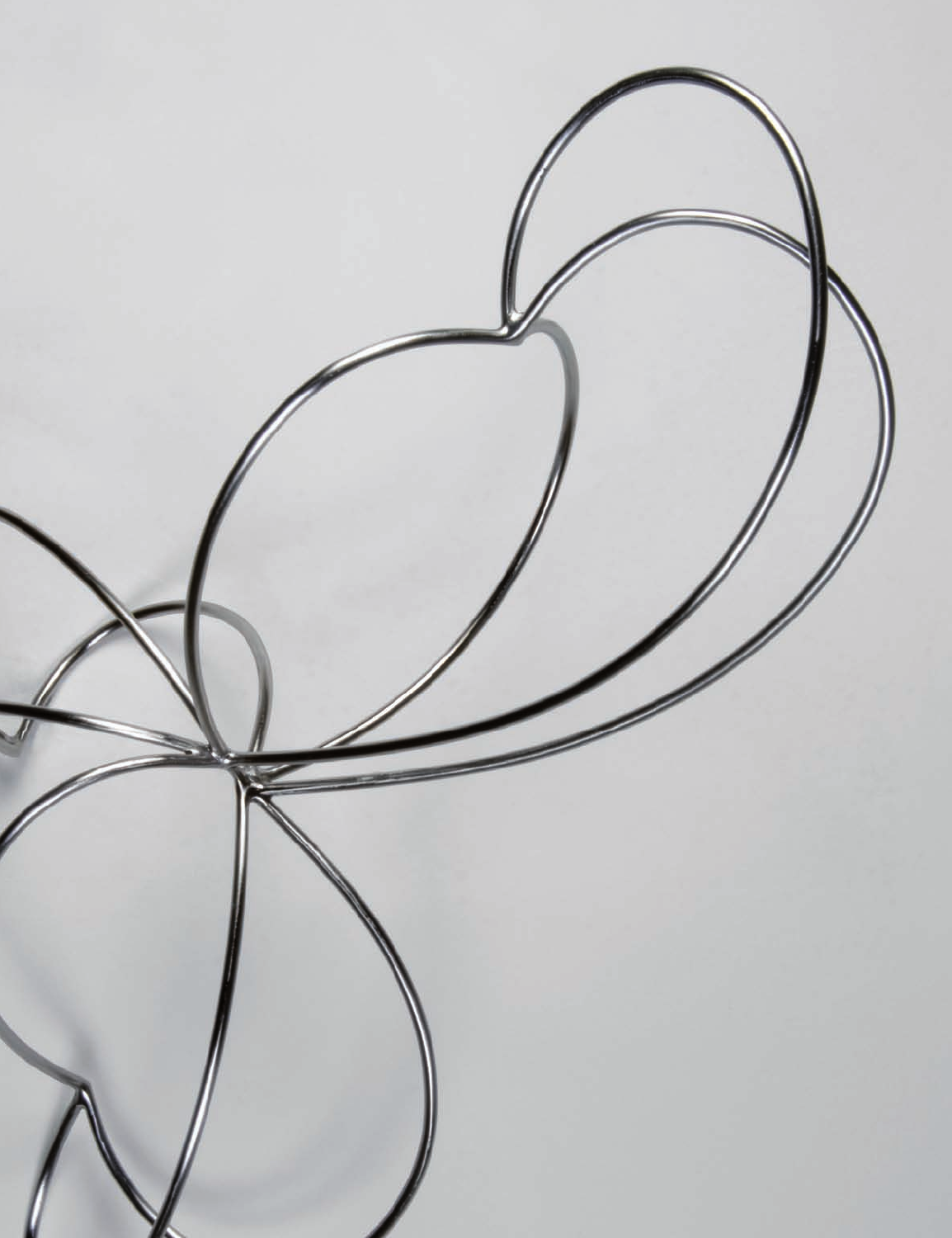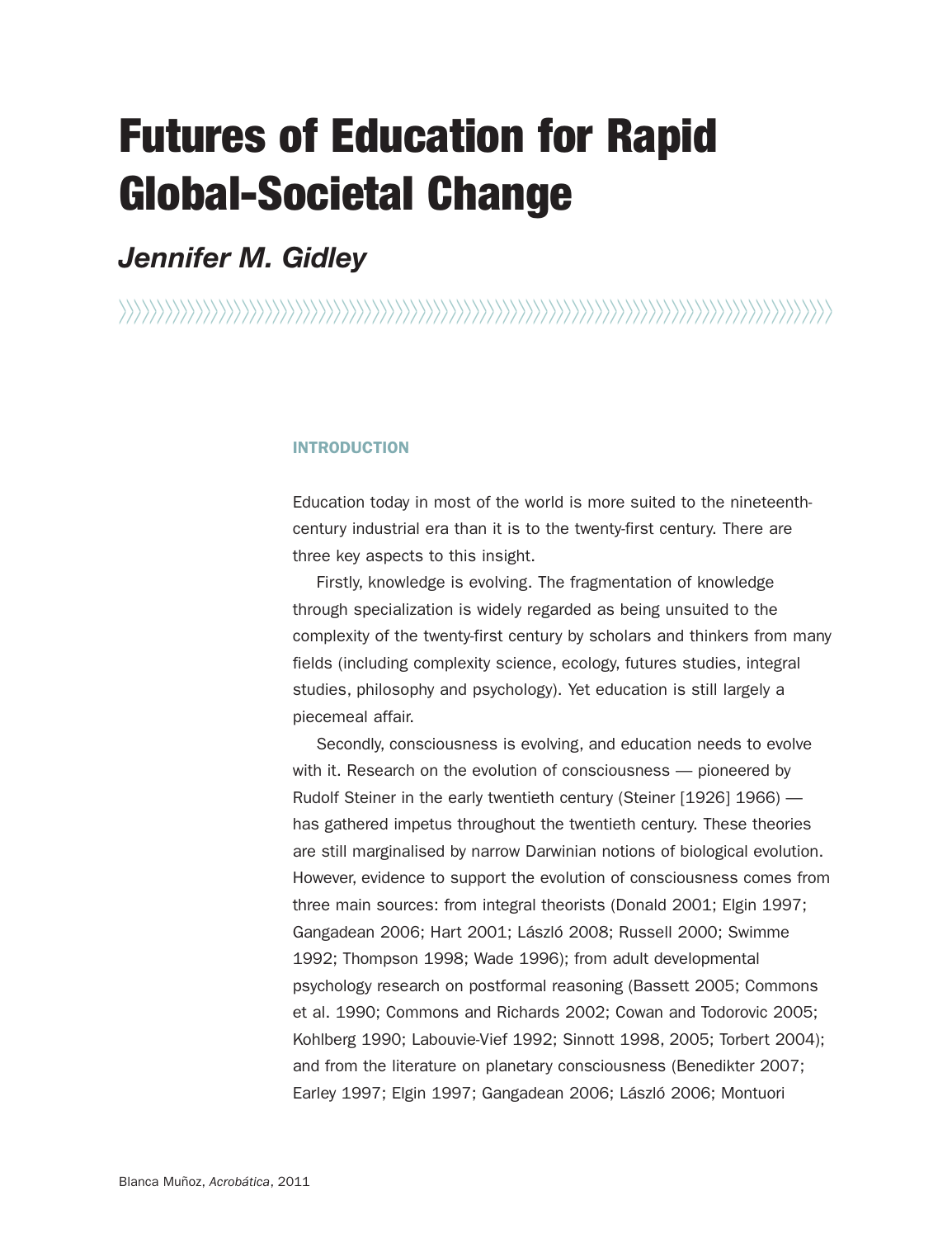# **Futures of Education for Rapid Global-Societal Change**

### *Jennifer M. Gidley*

>>>>>>>>>>>>>>>>>>>>>>>>>>>>>>>>>>>>>>>>>>>>>>>>>>>>>>>>>>>>>>>>>>>>>>>>>>>>>>>>>>>>>>>>>>>>>

#### INTRODUCTION

Education today in most of the world is more suited to the nineteenthcentury industrial era than it is to the twenty-first century. There are three key aspects to this insight.

Firstly, knowledge is evolving. The fragmentation of knowledge through specialization is widely regarded as being unsuited to the complexity of the twenty-first century by scholars and thinkers from many fields (including complexity science, ecology, futures studies, integral studies, philosophy and psychology). Yet education is still largely a piecemeal affair.

Secondly, consciousness is evolving, and education needs to evolve with it. Research on the evolution of consciousness — pioneered by Rudolf Steiner in the early twentieth century (Steiner [1926] 1966) has gathered impetus throughout the twentieth century. These theories are still marginalised by narrow Darwinian notions of biological evolution. However, evidence to support the evolution of consciousness comes from three main sources: from integral theorists (Donald 2001; Elgin 1997; Gangadean 2006; Hart 2001; László 2008; Russell 2000; Swimme 1992; Thompson 1998; Wade 1996); from adult developmental psychology research on postformal reasoning (Bassett 2005; Commons et al. 1990; Commons and Richards 2002; Cowan and Todorovic 2005; Kohlberg 1990; Labouvie-Vief 1992; Sinnott 1998, 2005; Torbert 2004); and from the literature on planetary consciousness (Benedikter 2007; Earley 1997; Elgin 1997; Gangadean 2006; László 2006; Montuori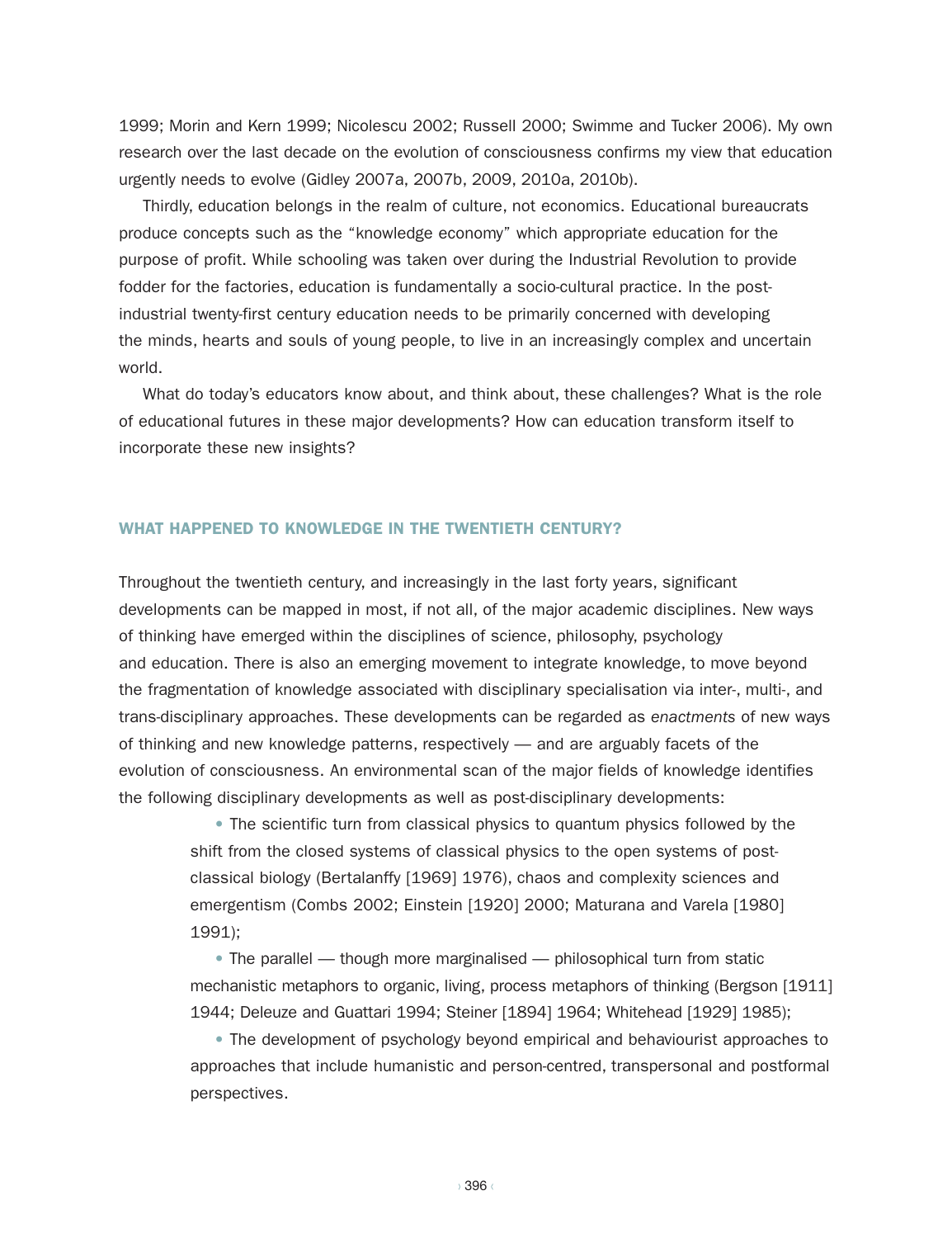1999; Morin and Kern 1999; Nicolescu 2002; Russell 2000; Swimme and Tucker 2006). My own research over the last decade on the evolution of consciousness confirms my view that education urgently needs to evolve (Gidley 2007a, 2007b, 2009, 2010a, 2010b).

Thirdly, education belongs in the realm of culture, not economics. Educational bureaucrats produce concepts such as the "knowledge economy" which appropriate education for the purpose of profit. While schooling was taken over during the Industrial Revolution to provide fodder for the factories, education is fundamentally a socio-cultural practice. In the postindustrial twenty-first century education needs to be primarily concerned with developing the minds, hearts and souls of young people, to live in an increasingly complex and uncertain world.

What do today's educators know about, and think about, these challenges? What is the role of educational futures in these major developments? How can education transform itself to incorporate these new insights?

#### WHAT HAPPENED TO KNOWLEDGE IN THE TWENTIETH CENTURY?

Throughout the twentieth century, and increasingly in the last forty years, significant developments can be mapped in most, if not all, of the major academic disciplines. New ways of thinking have emerged within the disciplines of science, philosophy, psychology and education. There is also an emerging movement to integrate knowledge, to move beyond the fragmentation of knowledge associated with disciplinary specialisation via inter-, multi-, and trans-disciplinary approaches. These developments can be regarded as *enactments* of new ways of thinking and new knowledge patterns, respectively — and are arguably facets of the evolution of consciousness. An environmental scan of the major fields of knowledge identifies the following disciplinary developments as well as post-disciplinary developments:

• The scientific turn from classical physics to quantum physics followed by the shift from the closed systems of classical physics to the open systems of postclassical biology (Bertalanffy [1969] 1976), chaos and complexity sciences and emergentism (Combs 2002; Einstein [1920] 2000; Maturana and Varela [1980] 1991);

• The parallel — though more marginalised — philosophical turn from static mechanistic metaphors to organic, living, process metaphors of thinking (Bergson [1911] 1944; Deleuze and Guattari 1994; Steiner [1894] 1964; Whitehead [1929] 1985);

• The development of psychology beyond empirical and behaviourist approaches to approaches that include humanistic and person-centred, transpersonal and postformal perspectives.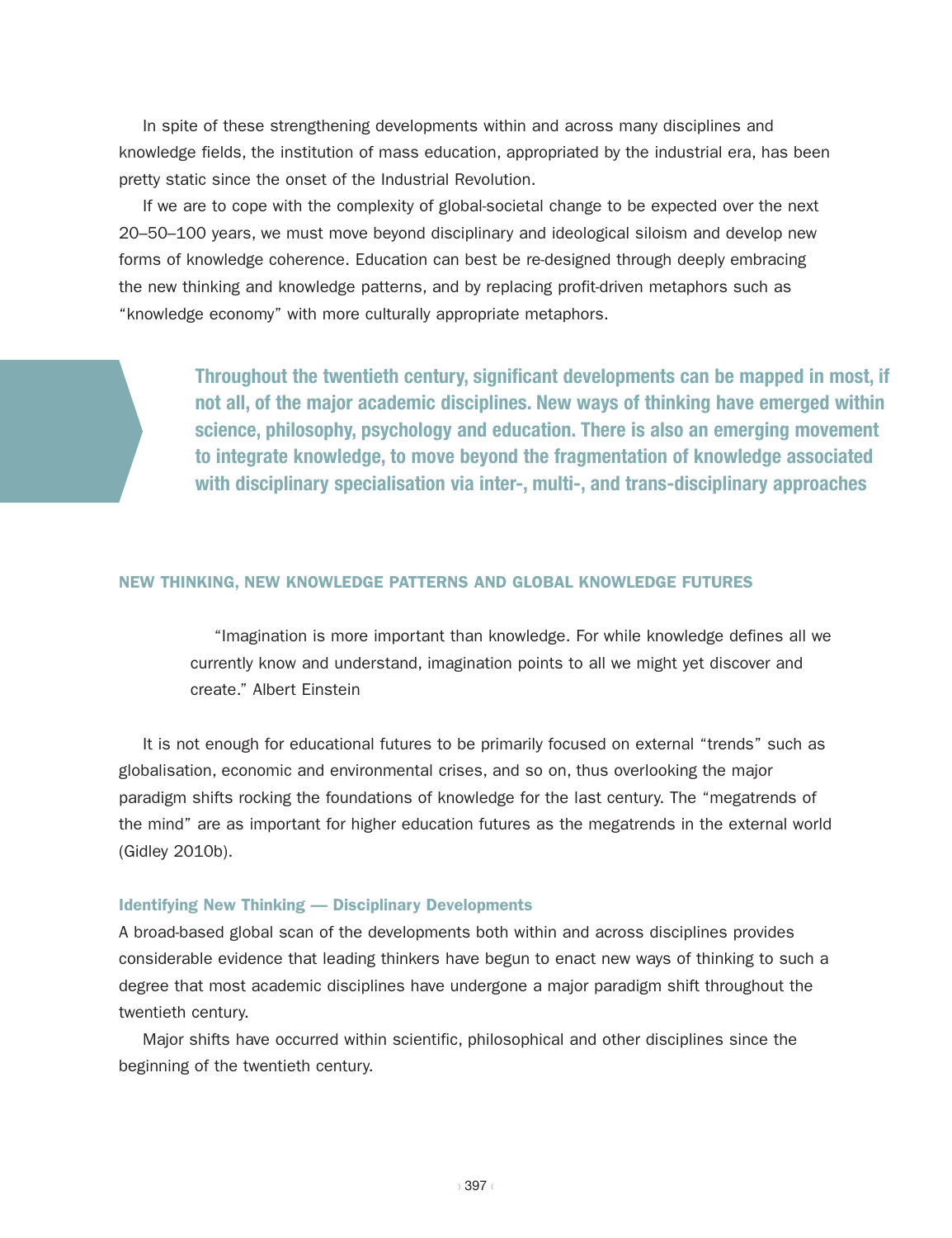In spite of these strengthening developments within and across many disciplines and knowledge fields, the institution of mass education, appropriated by the industrial era, has been pretty static since the onset of the Industrial Revolution.

If we are to cope with the complexity of global-societal change to be expected over the next 20–50–100 years, we must move beyond disciplinary and ideological siloism and develop new forms of knowledge coherence. Education can best be re-designed through deeply embracing the new thinking and knowledge patterns, and by replacing profit-driven metaphors such as "knowledge economy" with more culturally appropriate metaphors.

> **Throughout the twentieth century, significant developments can be mapped in most, if not all, of the major academic disciplines. New ways of thinking have emerged within science, philosophy, psychology and education. There is also an emerging movement to integrate knowledge, to move beyond the fragmentation of knowledge associated with disciplinary specialisation via inter-, multi-, and trans-disciplinary approaches**

#### NEW THINKING, NEW KNOWLEDGE PATTERNS AND GLOBAL KNOWLEDGE FUTURES

"Imagination is more important than knowledge. For while knowledge defines all we currently know and understand, imagination points to all we might yet discover and create." Albert Einstein

It is not enough for educational futures to be primarily focused on external "trends" such as globalisation, economic and environmental crises, and so on, thus overlooking the major paradigm shifts rocking the foundations of knowledge for the last century. The "megatrends of the mind" are as important for higher education futures as the megatrends in the external world (Gidley 2010b).

#### Identifying New Thinking — Disciplinary Developments

A broad-based global scan of the developments both within and across disciplines provides considerable evidence that leading thinkers have begun to enact new ways of thinking to such a degree that most academic disciplines have undergone a major paradigm shift throughout the twentieth century.

Major shifts have occurred within scientific, philosophical and other disciplines since the beginning of the twentieth century.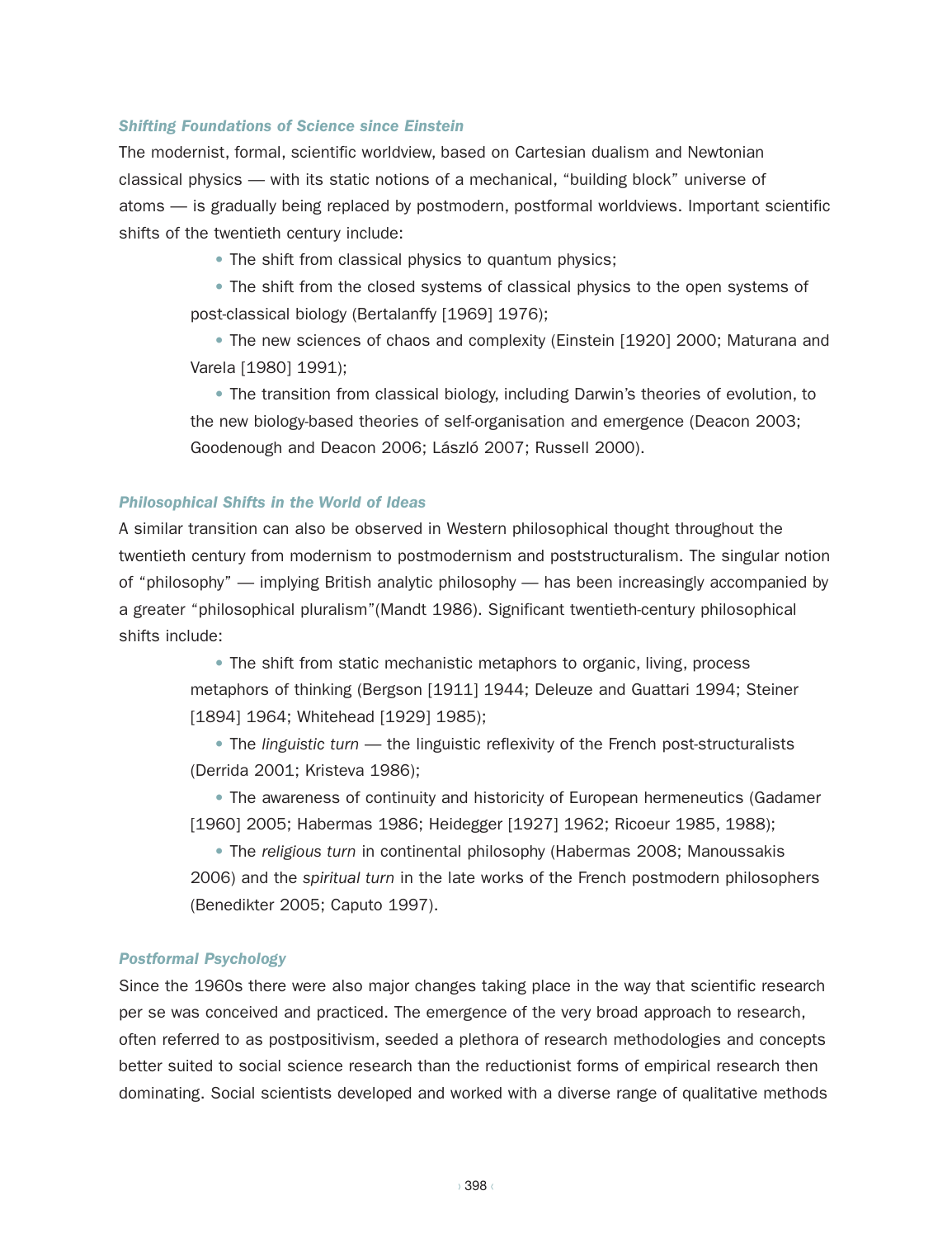#### *Shifting Foundations of Science since Einstein*

The modernist, formal, scientific worldview, based on Cartesian dualism and Newtonian classical physics — with its static notions of a mechanical, "building block" universe of atoms — is gradually being replaced by postmodern, postformal worldviews. Important scientific shifts of the twentieth century include:

• The shift from classical physics to quantum physics;

• The shift from the closed systems of classical physics to the open systems of post-classical biology (Bertalanffy [1969] 1976);

• The new sciences of chaos and complexity (Einstein [1920] 2000; Maturana and Varela [1980] 1991);

• The transition from classical biology, including Darwin's theories of evolution, to the new biology-based theories of self-organisation and emergence (Deacon 2003; Goodenough and Deacon 2006; László 2007; Russell 2000).

#### *Philosophical Shifts in the World of Ideas*

A similar transition can also be observed in Western philosophical thought throughout the twentieth century from modernism to postmodernism and poststructuralism. The singular notion of "philosophy" — implying British analytic philosophy — has been increasingly accompanied by a greater "philosophical pluralism"(Mandt 1986). Significant twentieth-century philosophical shifts include:

• The shift from static mechanistic metaphors to organic, living, process metaphors of thinking (Bergson [1911] 1944; Deleuze and Guattari 1994; Steiner [1894] 1964; Whitehead [1929] 1985);

• The *linguistic turn* — the linguistic reflexivity of the French post-structuralists (Derrida 2001; Kristeva 1986);

• The awareness of continuity and historicity of European hermeneutics (Gadamer [1960] 2005; Habermas 1986; Heidegger [1927] 1962; Ricoeur 1985, 1988);

• The *religious turn* in continental philosophy (Habermas 2008; Manoussakis 2006) and the *spiritual turn* in the late works of the French postmodern philosophers (Benedikter 2005; Caputo 1997).

#### *Postformal Psychology*

Since the 1960s there were also major changes taking place in the way that scientific research per se was conceived and practiced. The emergence of the very broad approach to research, often referred to as postpositivism, seeded a plethora of research methodologies and concepts better suited to social science research than the reductionist forms of empirical research then dominating. Social scientists developed and worked with a diverse range of qualitative methods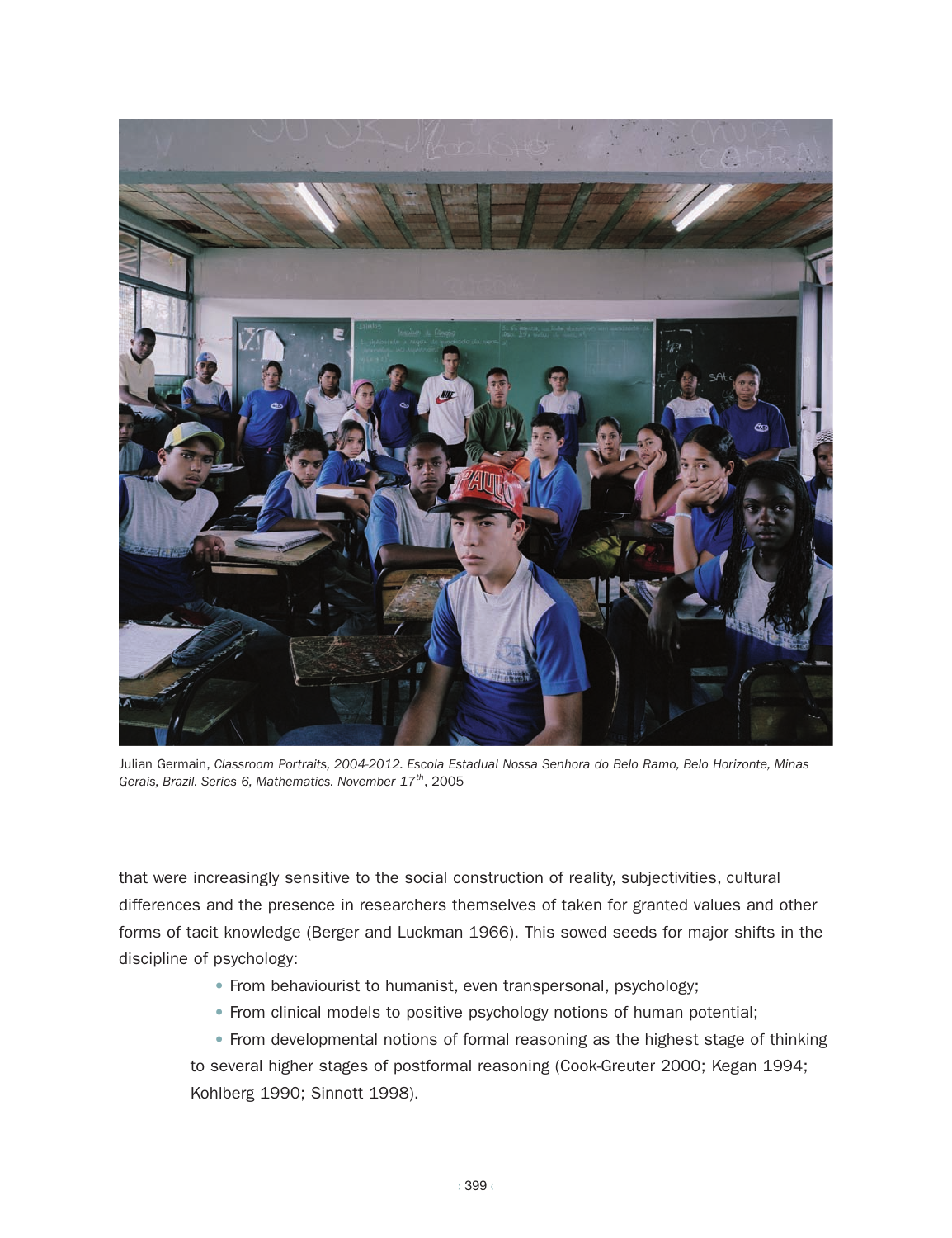

Julian Germain, *Classroom Portraits, 2004-2012. Escola Estadual Nossa Senhora do Belo Ramo, Belo Horizonte, Minas Gerais, Brazil. Series 6, Mathematics. November 17th*, 2005

that were increasingly sensitive to the social construction of reality, subjectivities, cultural differences and the presence in researchers themselves of taken for granted values and other forms of tacit knowledge (Berger and Luckman 1966). This sowed seeds for major shifts in the discipline of psychology:

- From behaviourist to humanist, even transpersonal, psychology;
- From clinical models to positive psychology notions of human potential;

• From developmental notions of formal reasoning as the highest stage of thinking to several higher stages of postformal reasoning (Cook-Greuter 2000; Kegan 1994; Kohlberg 1990; Sinnott 1998).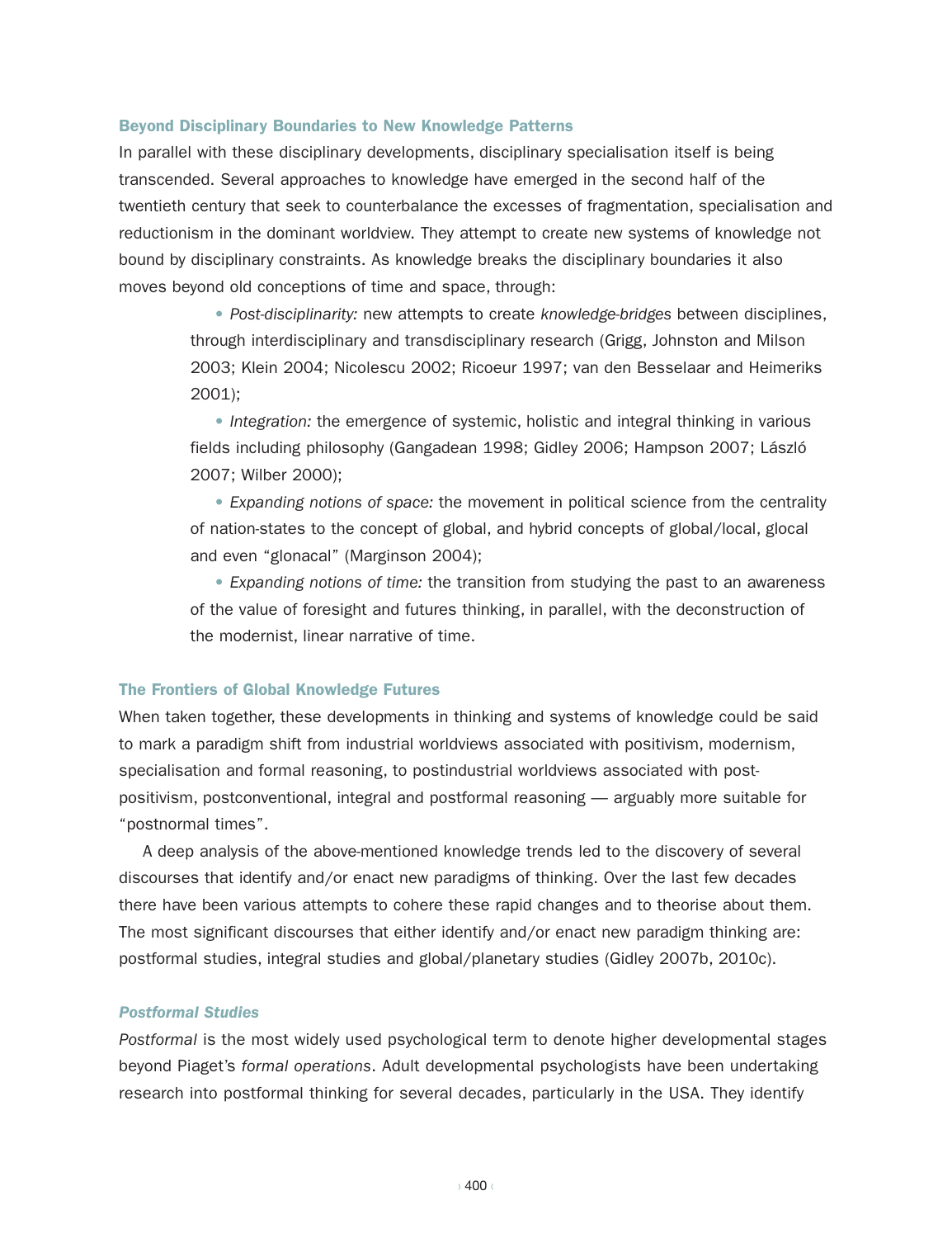#### Beyond Disciplinary Boundaries to New Knowledge Patterns

In parallel with these disciplinary developments, disciplinary specialisation itself is being transcended. Several approaches to knowledge have emerged in the second half of the twentieth century that seek to counterbalance the excesses of fragmentation, specialisation and reductionism in the dominant worldview. They attempt to create new systems of knowledge not bound by disciplinary constraints. As knowledge breaks the disciplinary boundaries it also moves beyond old conceptions of time and space, through:

• *Post-disciplinarity:* new attempts to create *knowledge-bridges* between disciplines, through interdisciplinary and transdisciplinary research (Grigg, Johnston and Milson 2003; Klein 2004; Nicolescu 2002; Ricoeur 1997; van den Besselaar and Heimeriks 2001);

• *Integration:* the emergence of systemic, holistic and integral thinking in various fields including philosophy (Gangadean 1998; Gidley 2006; Hampson 2007; László 2007; Wilber 2000);

• *Expanding notions of space:* the movement in political science from the centrality of nation-states to the concept of global, and hybrid concepts of global/local, glocal and even "glonacal" (Marginson 2004);

• *Expanding notions of time:* the transition from studying the past to an awareness of the value of foresight and futures thinking, in parallel, with the deconstruction of the modernist, linear narrative of time.

#### The Frontiers of Global Knowledge Futures

When taken together, these developments in thinking and systems of knowledge could be said to mark a paradigm shift from industrial worldviews associated with positivism, modernism, specialisation and formal reasoning, to postindustrial worldviews associated with postpositivism, postconventional, integral and postformal reasoning — arguably more suitable for "postnormal times".

A deep analysis of the above-mentioned knowledge trends led to the discovery of several discourses that identify and/or enact new paradigms of thinking. Over the last few decades there have been various attempts to cohere these rapid changes and to theorise about them. The most significant discourses that either identify and/or enact new paradigm thinking are: postformal studies, integral studies and global/planetary studies (Gidley 2007b, 2010c).

#### *Postformal Studies*

*Postformal* is the most widely used psychological term to denote higher developmental stages beyond Piaget's *formal operations*. Adult developmental psychologists have been undertaking research into postformal thinking for several decades, particularly in the USA. They identify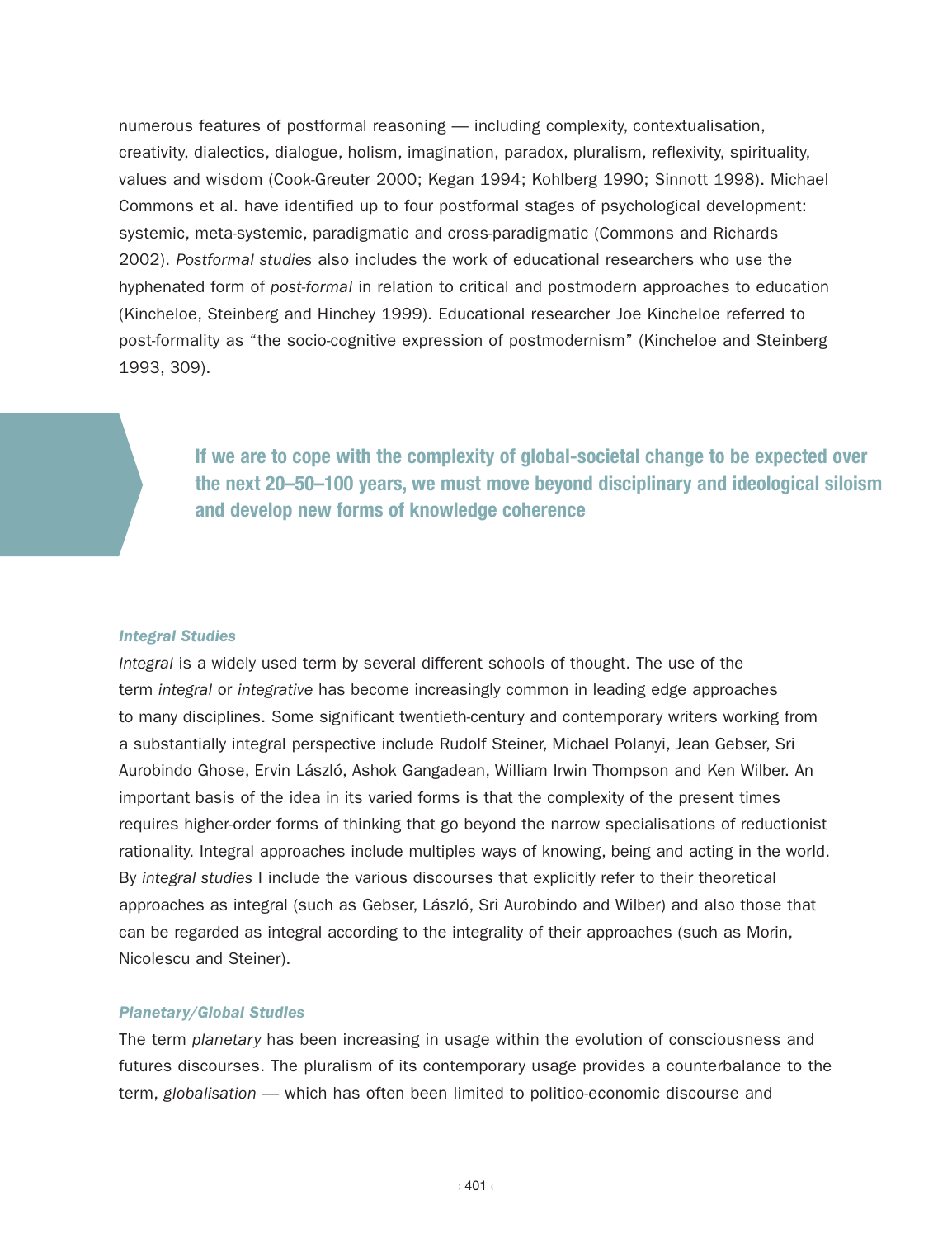numerous features of postformal reasoning — including complexity, contextualisation, creativity, dialectics, dialogue, holism, imagination, paradox, pluralism, reflexivity, spirituality, values and wisdom (Cook-Greuter 2000; Kegan 1994; Kohlberg 1990; Sinnott 1998). Michael Commons et al. have identified up to four postformal stages of psychological development: systemic, meta-systemic, paradigmatic and cross-paradigmatic (Commons and Richards 2002). *Postformal studies* also includes the work of educational researchers who use the hyphenated form of *post-formal* in relation to critical and postmodern approaches to education (Kincheloe, Steinberg and Hinchey 1999). Educational researcher Joe Kincheloe referred to post-formality as "the socio-cognitive expression of postmodernism" (Kincheloe and Steinberg 1993, 309).

> **If we are to cope with the complexity of global-societal change to be expected over the next 20–50–100 years, we must move beyond disciplinary and ideological siloism and develop new forms of knowledge coherence**

#### *Integral Studies*

*Integral* is a widely used term by several different schools of thought. The use of the term *integral* or *integrative* has become increasingly common in leading edge approaches to many disciplines. Some significant twentieth-century and contemporary writers working from a substantially integral perspective include Rudolf Steiner, Michael Polanyi, Jean Gebser, Sri Aurobindo Ghose, Ervin László, Ashok Gangadean, William Irwin Thompson and Ken Wilber. An important basis of the idea in its varied forms is that the complexity of the present times requires higher-order forms of thinking that go beyond the narrow specialisations of reductionist rationality. Integral approaches include multiples ways of knowing, being and acting in the world. By *integral studies* I include the various discourses that explicitly refer to their theoretical approaches as integral (such as Gebser, László, Sri Aurobindo and Wilber) and also those that can be regarded as integral according to the integrality of their approaches (such as Morin, Nicolescu and Steiner).

#### *Planetary/Global Studies*

The term *planetary* has been increasing in usage within the evolution of consciousness and futures discourses. The pluralism of its contemporary usage provides a counterbalance to the term, *globalisation* — which has often been limited to politico-economic discourse and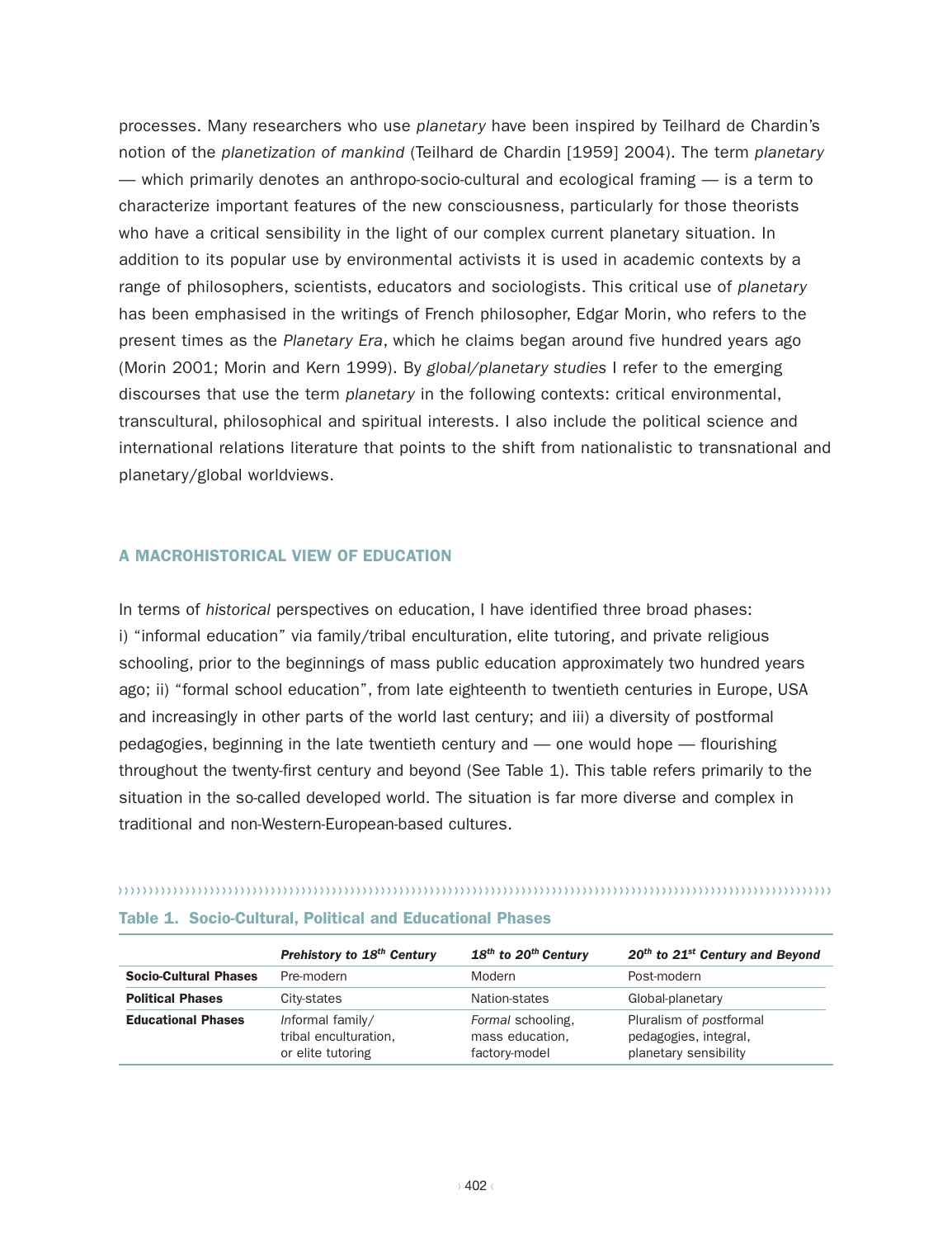processes. Many researchers who use *planetary* have been inspired by Teilhard de Chardin's notion of the *planetization of mankind* (Teilhard de Chardin [1959] 2004). The term *planetary* — which primarily denotes an anthropo-socio-cultural and ecological framing — is a term to characterize important features of the new consciousness, particularly for those theorists who have a critical sensibility in the light of our complex current planetary situation. In addition to its popular use by environmental activists it is used in academic contexts by a range of philosophers, scientists, educators and sociologists. This critical use of *planetary* has been emphasised in the writings of French philosopher, Edgar Morin, who refers to the present times as the *Planetary Era*, which he claims began around five hundred years ago (Morin 2001; Morin and Kern 1999). By *global/planetary studies* I refer to the emerging discourses that use the term *planetary* in the following contexts: critical environmental, transcultural, philosophical and spiritual interests. I also include the political science and international relations literature that points to the shift from nationalistic to transnational and planetary/global worldviews.

#### A MACROHISTORICAL VIEW OF EDUCATION

In terms of *historical* perspectives on education, I have identified three broad phases: i) "informal education" via family/tribal enculturation, elite tutoring, and private religious schooling, prior to the beginnings of mass public education approximately two hundred years ago; ii) "formal school education", from late eighteenth to twentieth centuries in Europe, USA and increasingly in other parts of the world last century; and iii) a diversity of postformal pedagogies, beginning in the late twentieth century and — one would hope — flourishing throughout the twenty-first century and beyond (See Table 1). This table refers primarily to the situation in the so-called developed world. The situation is far more diverse and complex in traditional and non-Western-European-based cultures.

#### >>>>>>>>>>>>>>>>>>>>>>>>>>>>>>>>>>>>>>>>>>>>>>>>>>>>>>>>>>>>>>>>>>>>>>>>>>>>>>>>>>>>>>>>>>>>>>>>>>>>>>>>>>>>>>>>>>>>> Table 1. Socio-Cultural, Political and Educational Phases

|                              | Prehistory to 18 <sup>th</sup> Century                         | $18th$ to $20th$ Century                              | 20 <sup>th</sup> to 21 <sup>st</sup> Century and Beyond                   |
|------------------------------|----------------------------------------------------------------|-------------------------------------------------------|---------------------------------------------------------------------------|
| <b>Socio-Cultural Phases</b> | Pre-modern                                                     | Modern                                                | Post-modern                                                               |
| <b>Political Phases</b>      | City-states                                                    | Nation-states                                         | Global-planetary                                                          |
| <b>Educational Phases</b>    | Informal family/<br>tribal enculturation,<br>or elite tutoring | Formal schooling,<br>mass education,<br>factory-model | Pluralism of postformal<br>pedagogies, integral,<br>planetary sensibility |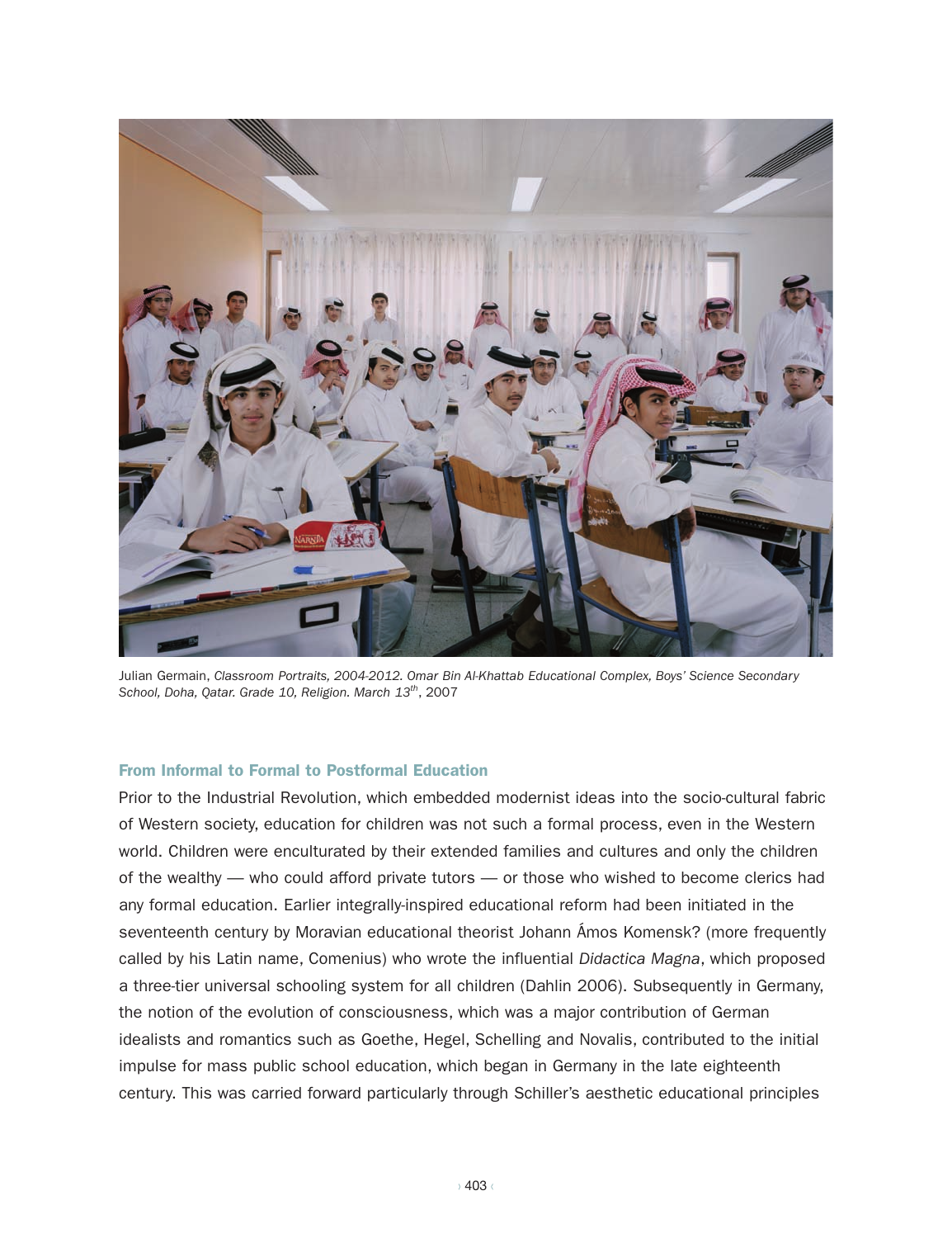

Julian Germain, *Classroom Portraits, 2004-2012. Omar Bin Al-Khattab Educational Complex, Boys' Science Secondary School, Doha, Qatar. Grade 10, Religion. March 13th*, 2007

#### From Informal to Formal to Postformal Education

Prior to the Industrial Revolution, which embedded modernist ideas into the socio-cultural fabric of Western society, education for children was not such a formal process, even in the Western world. Children were enculturated by their extended families and cultures and only the children of the wealthy — who could afford private tutors — or those who wished to become clerics had any formal education. Earlier integrally-inspired educational reform had been initiated in the seventeenth century by Moravian educational theorist Johann Ámos Komensk? (more frequently called by his Latin name, Comenius) who wrote the influential *Didactica Magna*, which proposed a three-tier universal schooling system for all children (Dahlin 2006). Subsequently in Germany, the notion of the evolution of consciousness, which was a major contribution of German idealists and romantics such as Goethe, Hegel, Schelling and Novalis, contributed to the initial impulse for mass public school education, which began in Germany in the late eighteenth century. This was carried forward particularly through Schiller's aesthetic educational principles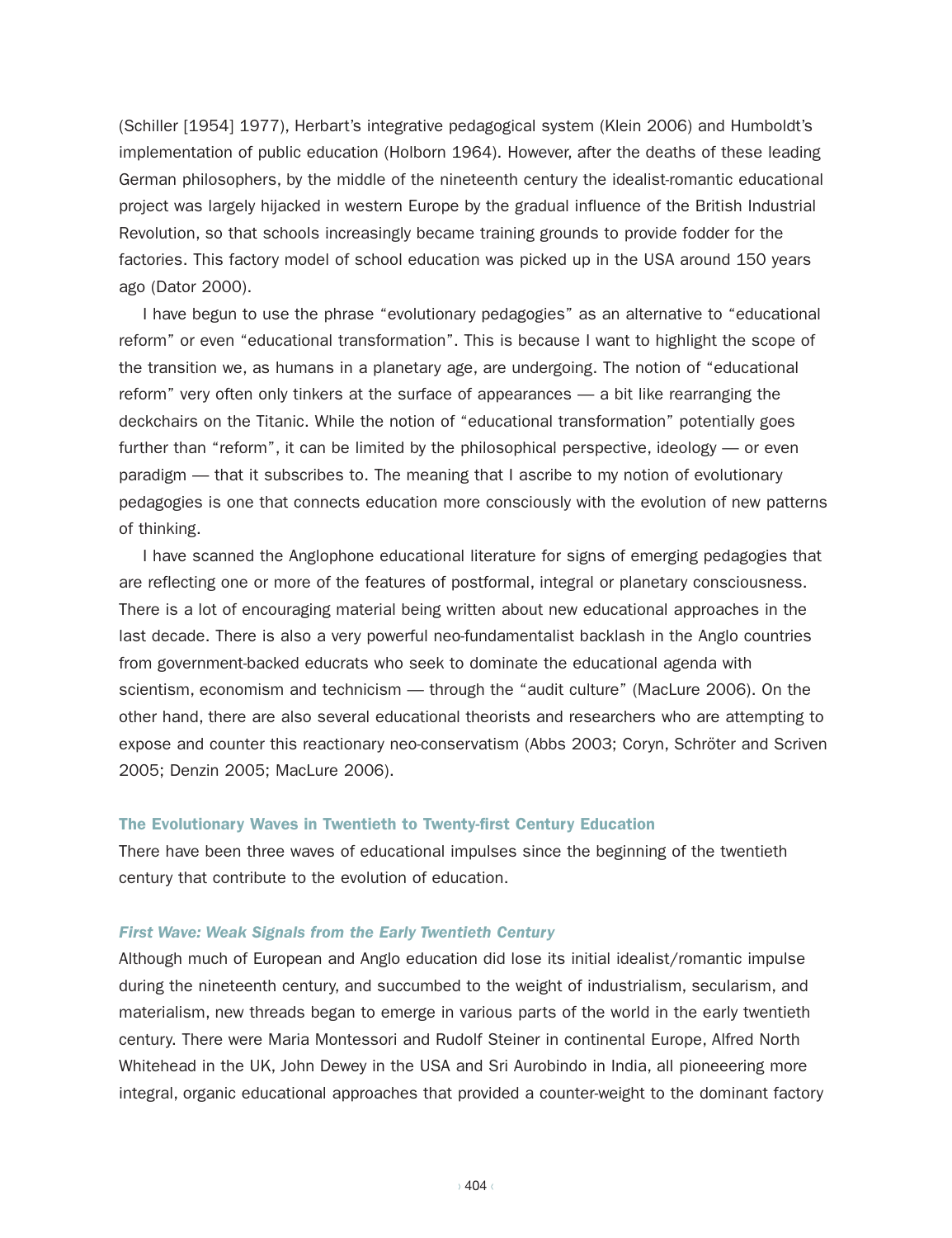(Schiller [1954] 1977), Herbart's integrative pedagogical system (Klein 2006) and Humboldt's implementation of public education (Holborn 1964). However, after the deaths of these leading German philosophers, by the middle of the nineteenth century the idealist-romantic educational project was largely hijacked in western Europe by the gradual influence of the British Industrial Revolution, so that schools increasingly became training grounds to provide fodder for the factories. This factory model of school education was picked up in the USA around 150 years ago (Dator 2000).

I have begun to use the phrase "evolutionary pedagogies" as an alternative to "educational reform" or even "educational transformation". This is because I want to highlight the scope of the transition we, as humans in a planetary age, are undergoing. The notion of "educational reform" very often only tinkers at the surface of appearances — a bit like rearranging the deckchairs on the Titanic. While the notion of "educational transformation" potentially goes further than "reform", it can be limited by the philosophical perspective, ideology  $-$  or even paradigm — that it subscribes to. The meaning that I ascribe to my notion of evolutionary pedagogies is one that connects education more consciously with the evolution of new patterns of thinking.

I have scanned the Anglophone educational literature for signs of emerging pedagogies that are reflecting one or more of the features of postformal, integral or planetary consciousness. There is a lot of encouraging material being written about new educational approaches in the last decade. There is also a very powerful neo-fundamentalist backlash in the Anglo countries from government-backed educrats who seek to dominate the educational agenda with scientism, economism and technicism — through the "audit culture" (MacLure 2006). On the other hand, there are also several educational theorists and researchers who are attempting to expose and counter this reactionary neo-conservatism (Abbs 2003; Coryn, Schröter and Scriven 2005; Denzin 2005; MacLure 2006).

#### The Evolutionary Waves in Twentieth to Twenty-first Century Education

There have been three waves of educational impulses since the beginning of the twentieth century that contribute to the evolution of education.

#### *First Wave: Weak Signals from the Early Twentieth Century*

Although much of European and Anglo education did lose its initial idealist/romantic impulse during the nineteenth century, and succumbed to the weight of industrialism, secularism, and materialism, new threads began to emerge in various parts of the world in the early twentieth century. There were Maria Montessori and Rudolf Steiner in continental Europe, Alfred North Whitehead in the UK, John Dewey in the USA and Sri Aurobindo in India, all pioneeering more integral, organic educational approaches that provided a counter-weight to the dominant factory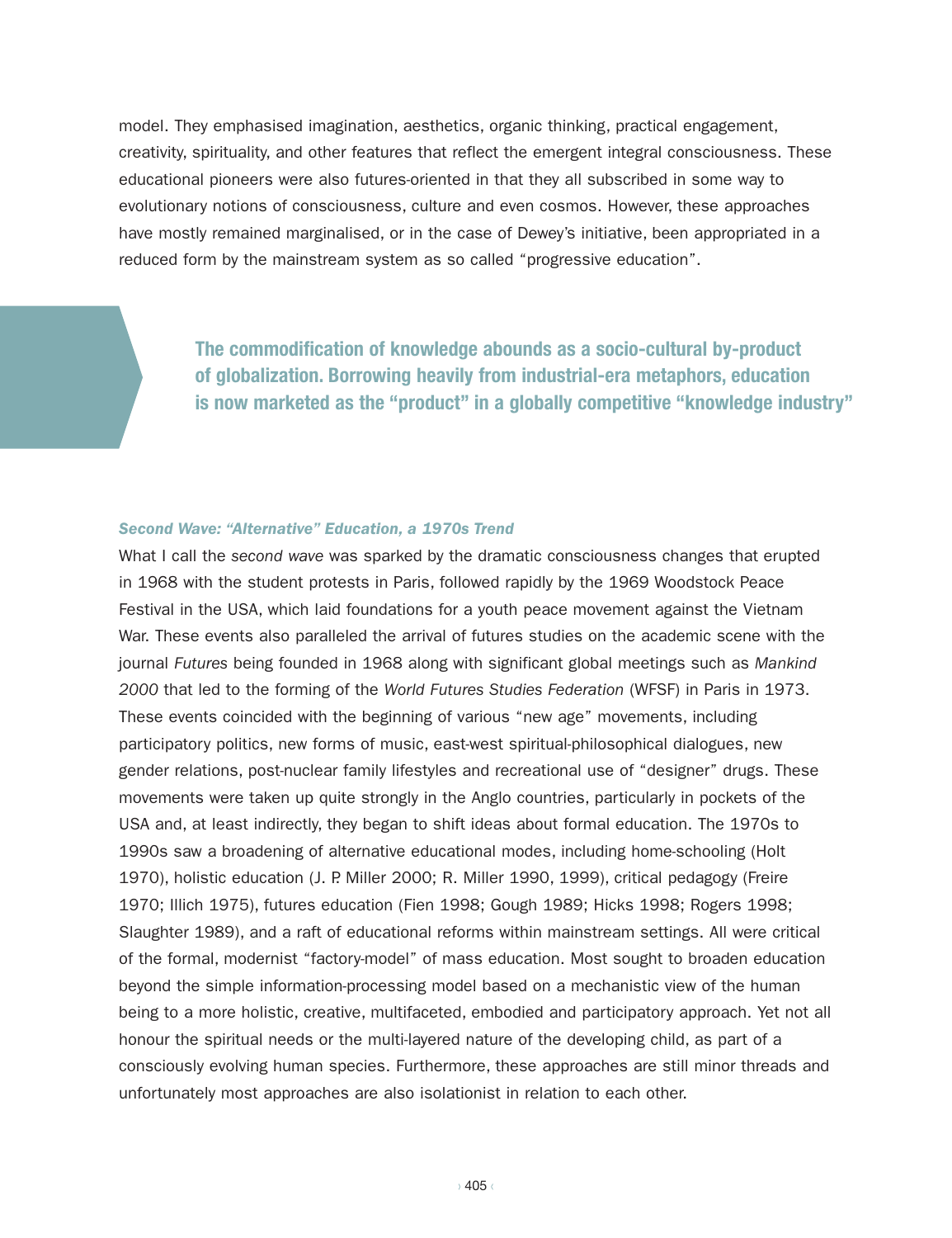model. They emphasised imagination, aesthetics, organic thinking, practical engagement, creativity, spirituality, and other features that reflect the emergent integral consciousness. These educational pioneers were also futures-oriented in that they all subscribed in some way to evolutionary notions of consciousness, culture and even cosmos. However, these approaches have mostly remained marginalised, or in the case of Dewey's initiative, been appropriated in a reduced form by the mainstream system as so called "progressive education".

> **The commodification of knowledge abounds as a socio-cultural by-product of globalization. Borrowing heavily from industrial-era metaphors, education is now marketed as the "product" in a globally competitive "knowledge industry"**

#### *Second Wave: "Alternative" Education, a 1970s Trend*

What I call the *second wave* was sparked by the dramatic consciousness changes that erupted in 1968 with the student protests in Paris, followed rapidly by the 1969 Woodstock Peace Festival in the USA, which laid foundations for a youth peace movement against the Vietnam War. These events also paralleled the arrival of futures studies on the academic scene with the journal *Futures* being founded in 1968 along with significant global meetings such as *Mankind 2000* that led to the forming of the *World Futures Studies Federation* (WFSF) in Paris in 1973. These events coincided with the beginning of various "new age" movements, including participatory politics, new forms of music, east-west spiritual-philosophical dialogues, new gender relations, post-nuclear family lifestyles and recreational use of "designer" drugs. These movements were taken up quite strongly in the Anglo countries, particularly in pockets of the USA and, at least indirectly, they began to shift ideas about formal education. The 1970s to 1990s saw a broadening of alternative educational modes, including home-schooling (Holt 1970), holistic education (J. P. Miller 2000; R. Miller 1990, 1999), critical pedagogy (Freire 1970; Illich 1975), futures education (Fien 1998; Gough 1989; Hicks 1998; Rogers 1998; Slaughter 1989), and a raft of educational reforms within mainstream settings. All were critical of the formal, modernist "factory-model" of mass education. Most sought to broaden education beyond the simple information-processing model based on a mechanistic view of the human being to a more holistic, creative, multifaceted, embodied and participatory approach. Yet not all honour the spiritual needs or the multi-layered nature of the developing child, as part of a consciously evolving human species. Furthermore, these approaches are still minor threads and unfortunately most approaches are also isolationist in relation to each other.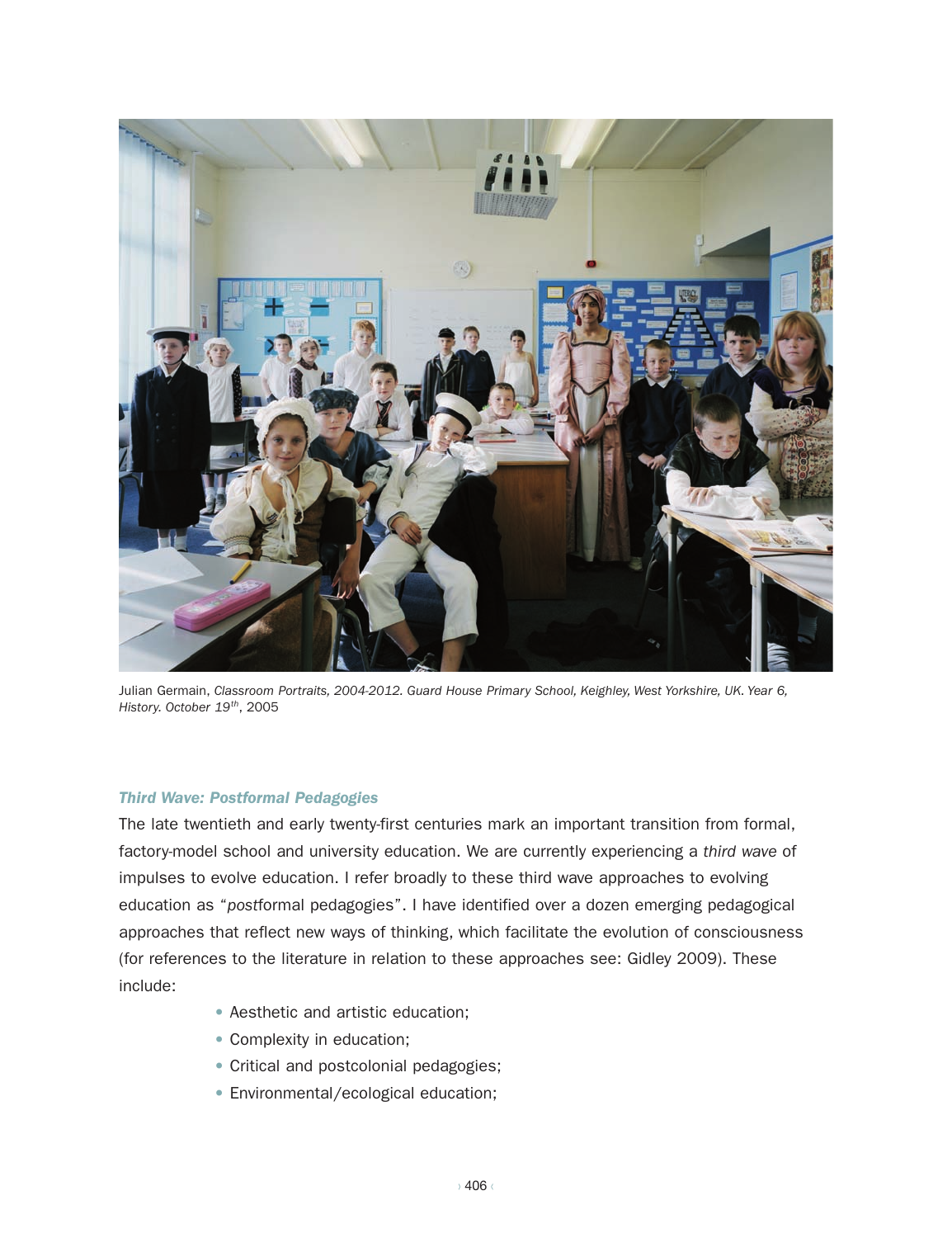

Julian Germain, *Classroom Portraits, 2004-2012. Guard House Primary School, Keighley, West Yorkshire, UK. Year 6, History. October 19th*, 2005

#### *Third Wave: Postformal Pedagogies*

The late twentieth and early twenty-first centuries mark an important transition from formal, factory-model school and university education. We are currently experiencing a *third wave* of impulses to evolve education. I refer broadly to these third wave approaches to evolving education as "*post*formal pedagogies". I have identified over a dozen emerging pedagogical approaches that reflect new ways of thinking, which facilitate the evolution of consciousness (for references to the literature in relation to these approaches see: Gidley 2009). These include:

- Aesthetic and artistic education;
- Complexity in education;
- Critical and postcolonial pedagogies;
- Environmental/ecological education;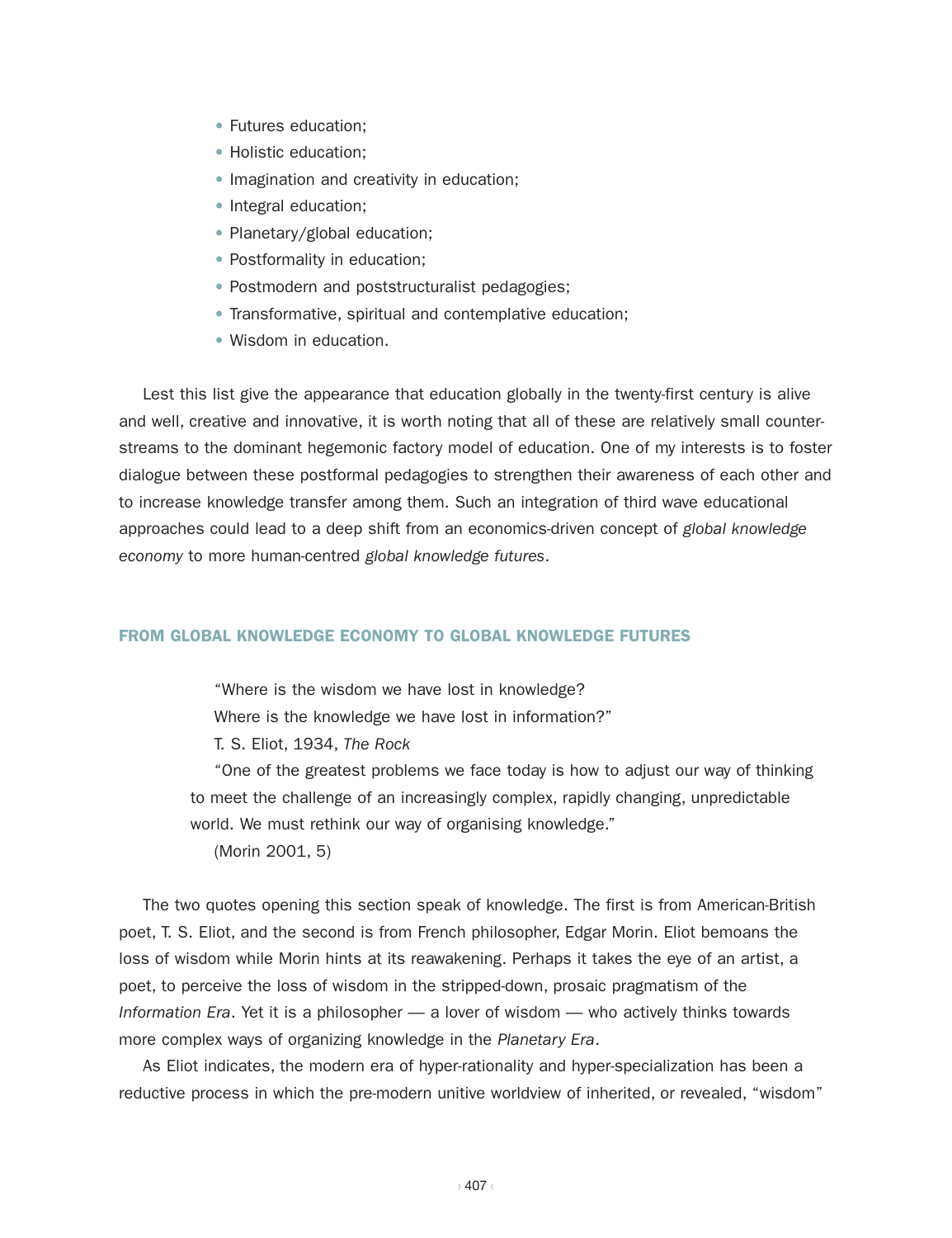- Futures education;
- Holistic education;
- Imagination and creativity in education;
- Integral education;
- Planetary/global education;
- Postformality in education;
- Postmodern and poststructuralist pedagogies:
- Transformative, spiritual and contemplative education;
- Wisdom in education.

Lest this list give the appearance that education globally in the twenty-first century is alive and well, creative and innovative, it is worth noting that all of these are relatively small counterstreams to the dominant hegemonic factory model of education. One of my interests is to foster dialogue between these postformal pedagogies to strengthen their awareness of each other and to increase knowledge transfer among them. Such an integration of third wave educational approaches could lead to a deep shift from an economics-driven concept of *global knowledge economy* to more human-centred *global knowledge futures*.

#### FROM GLOBAL KNOWLEDGE ECONOMY TO GLOBAL KNOWLEDGE FUTURES

"Where is the wisdom we have lost in knowledge?

Where is the knowledge we have lost in information?"

T. S. Eliot, 1934, *The Rock*

"One of the greatest problems we face today is how to adjust our way of thinking to meet the challenge of an increasingly complex, rapidly changing, unpredictable world. We must rethink our way of organising knowledge."

(Morin 2001, 5)

The two quotes opening this section speak of knowledge. The first is from American-British poet, T. S. Eliot, and the second is from French philosopher, Edgar Morin. Eliot bemoans the loss of wisdom while Morin hints at its reawakening. Perhaps it takes the eye of an artist, a poet, to perceive the loss of wisdom in the stripped-down, prosaic pragmatism of the *Information Era*. Yet it is a philosopher — a lover of wisdom — who actively thinks towards more complex ways of organizing knowledge in the *Planetary Era*.

As Eliot indicates, the modern era of hyper-rationality and hyper-specialization has been a reductive process in which the pre-modern unitive worldview of inherited, or revealed, "wisdom"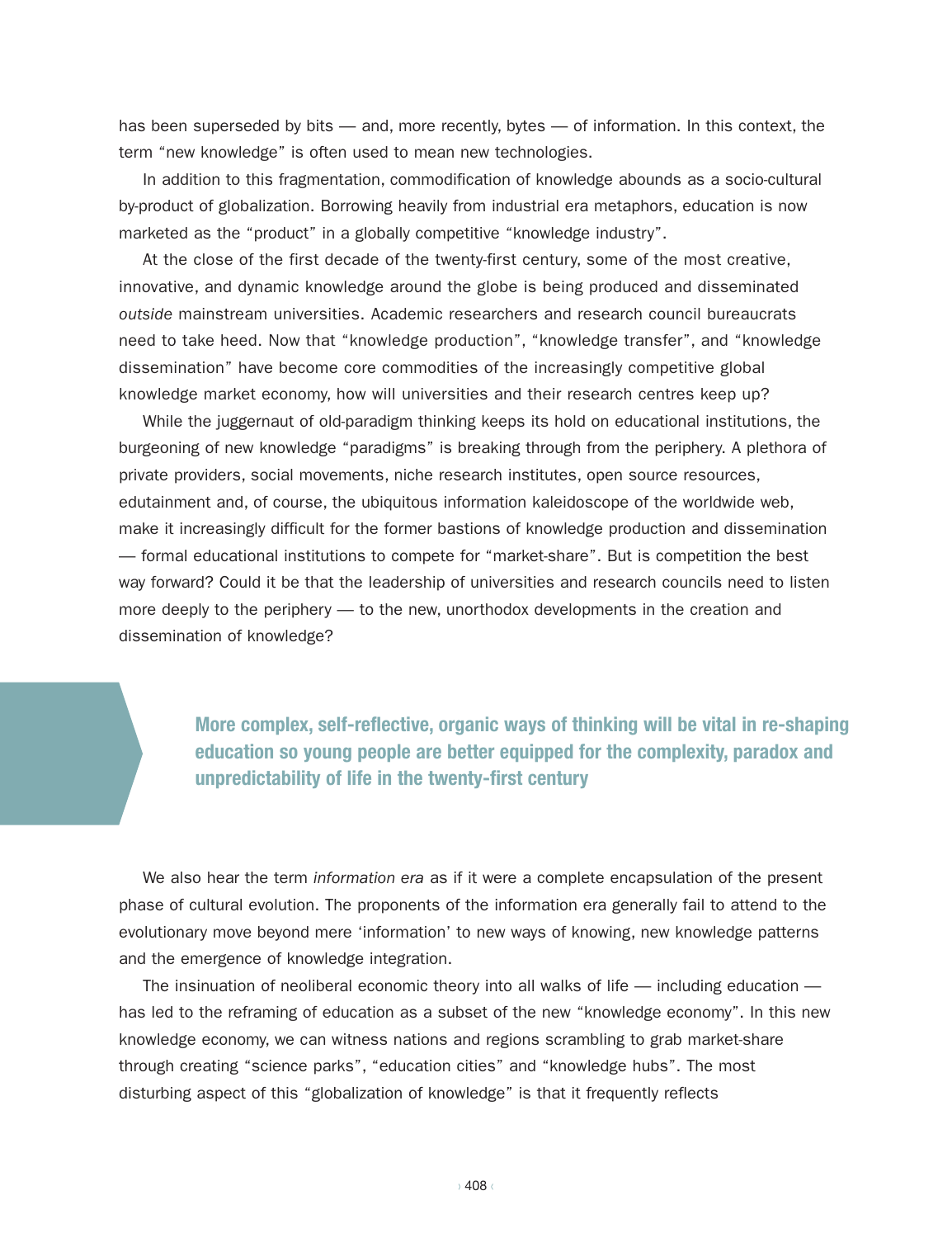has been superseded by bits — and, more recently, bytes — of information. In this context, the term "new knowledge" is often used to mean new technologies.

In addition to this fragmentation, commodification of knowledge abounds as a socio-cultural by-product of globalization. Borrowing heavily from industrial era metaphors, education is now marketed as the "product" in a globally competitive "knowledge industry".

At the close of the first decade of the twenty-first century, some of the most creative, innovative, and dynamic knowledge around the globe is being produced and disseminated *outside* mainstream universities. Academic researchers and research council bureaucrats need to take heed. Now that "knowledge production", "knowledge transfer", and "knowledge dissemination" have become core commodities of the increasingly competitive global knowledge market economy, how will universities and their research centres keep up?

While the juggernaut of old-paradigm thinking keeps its hold on educational institutions, the burgeoning of new knowledge "paradigms" is breaking through from the periphery. A plethora of private providers, social movements, niche research institutes, open source resources, edutainment and, of course, the ubiquitous information kaleidoscope of the worldwide web, make it increasingly difficult for the former bastions of knowledge production and dissemination — formal educational institutions to compete for "market-share". But is competition the best way forward? Could it be that the leadership of universities and research councils need to listen more deeply to the periphery — to the new, unorthodox developments in the creation and dissemination of knowledge?

> **More complex, self-reflective, organic ways of thinking will be vital in re-shaping education so young people are better equipped for the complexity, paradox and unpredictability of life in the twenty-first century**

We also hear the term *information era* as if it were a complete encapsulation of the present phase of cultural evolution. The proponents of the information era generally fail to attend to the evolutionary move beyond mere 'information' to new ways of knowing, new knowledge patterns and the emergence of knowledge integration.

The insinuation of neoliberal economic theory into all walks of life — including education has led to the reframing of education as a subset of the new "knowledge economy". In this new knowledge economy, we can witness nations and regions scrambling to grab market-share through creating "science parks", "education cities" and "knowledge hubs". The most disturbing aspect of this "globalization of knowledge" is that it frequently reflects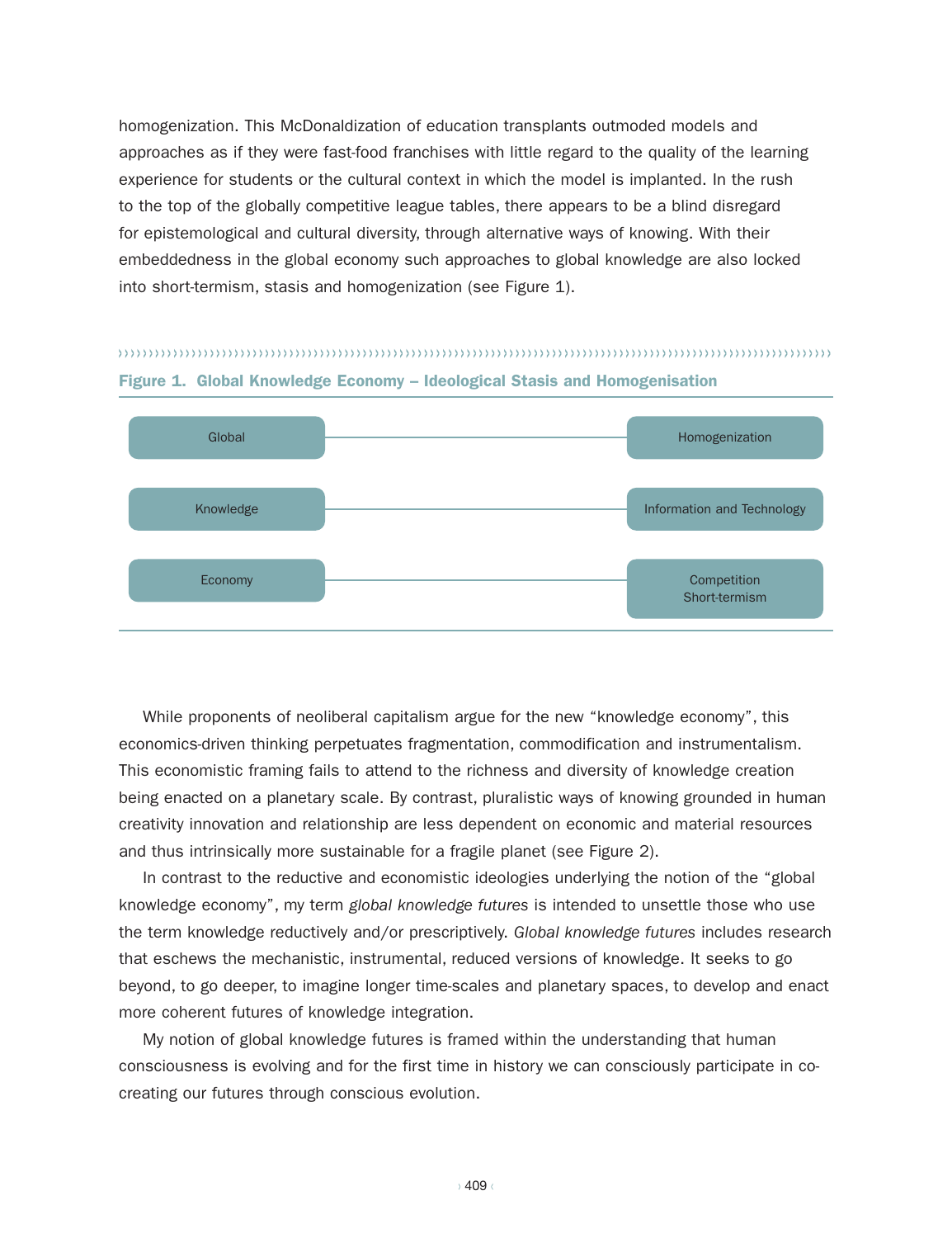homogenization. This McDonaldization of education transplants outmoded models and approaches as if they were fast-food franchises with little regard to the quality of the learning experience for students or the cultural context in which the model is implanted. In the rush to the top of the globally competitive league tables, there appears to be a blind disregard for epistemological and cultural diversity, through alternative ways of knowing. With their embeddedness in the global economy such approaches to global knowledge are also locked into short-termism, stasis and homogenization (see Figure 1).

>>>>>>>>>>>>>>>>>>>>>>>>>>>>>>>>>>>>>>>>>>>>>>>>>>>>>>>>>>>>>>>>>>>>>>>>>>>>>>>>>>>>>>>>>>>>>>>>>>>>>>>>>>>>>>>>>>>>>



Figure 1. Global Knowledge Economy – Ideological Stasis and Homogenisation

While proponents of neoliberal capitalism argue for the new "knowledge economy", this economics-driven thinking perpetuates fragmentation, commodification and instrumentalism. This economistic framing fails to attend to the richness and diversity of knowledge creation being enacted on a planetary scale. By contrast, pluralistic ways of knowing grounded in human creativity innovation and relationship are less dependent on economic and material resources and thus intrinsically more sustainable for a fragile planet (see Figure 2).

In contrast to the reductive and economistic ideologies underlying the notion of the "global knowledge economy", my term *global knowledge futures* is intended to unsettle those who use the term knowledge reductively and/or prescriptively. *Global knowledge futures* includes research that eschews the mechanistic, instrumental, reduced versions of knowledge. It seeks to go beyond, to go deeper, to imagine longer time-scales and planetary spaces, to develop and enact more coherent futures of knowledge integration.

My notion of global knowledge futures is framed within the understanding that human consciousness is evolving and for the first time in history we can consciously participate in cocreating our futures through conscious evolution.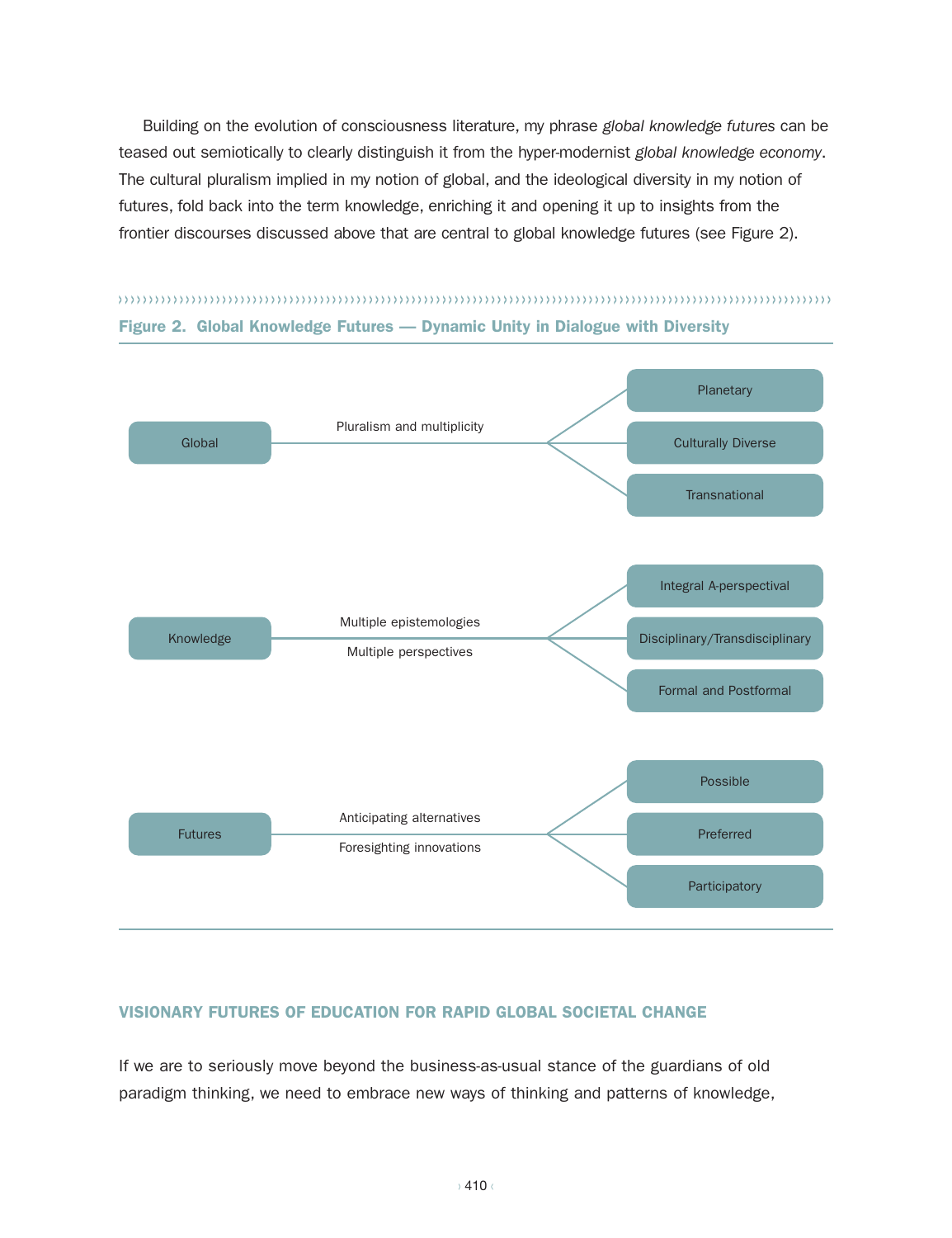Building on the evolution of consciousness literature, my phrase *global knowledge futures* can be teased out semiotically to clearly distinguish it from the hyper-modernist *global knowledge economy*. The cultural pluralism implied in my notion of global, and the ideological diversity in my notion of futures, fold back into the term knowledge, enriching it and opening it up to insights from the frontier discourses discussed above that are central to global knowledge futures (see Figure 2).

#### >>>>>>>>>>>>>>>>>>>>>>>>>>>>>>>>>>>>>>>>>>>>>>>>>>>>>>>>>>>>>>>>>>>>>>>>>>>>>>>>>>>>>>>>>>>>>>>>>>>>>>>>>>>>>>>>>>>>> Figure 2. Global Knowledge Futures — Dynamic Unity in Dialogue with Diversity



#### VISIONARY FUTURES OF EDUCATION FOR RAPID GLOBAL SOCIETAL CHANGE

If we are to seriously move beyond the business-as-usual stance of the guardians of old paradigm thinking, we need to embrace new ways of thinking and patterns of knowledge,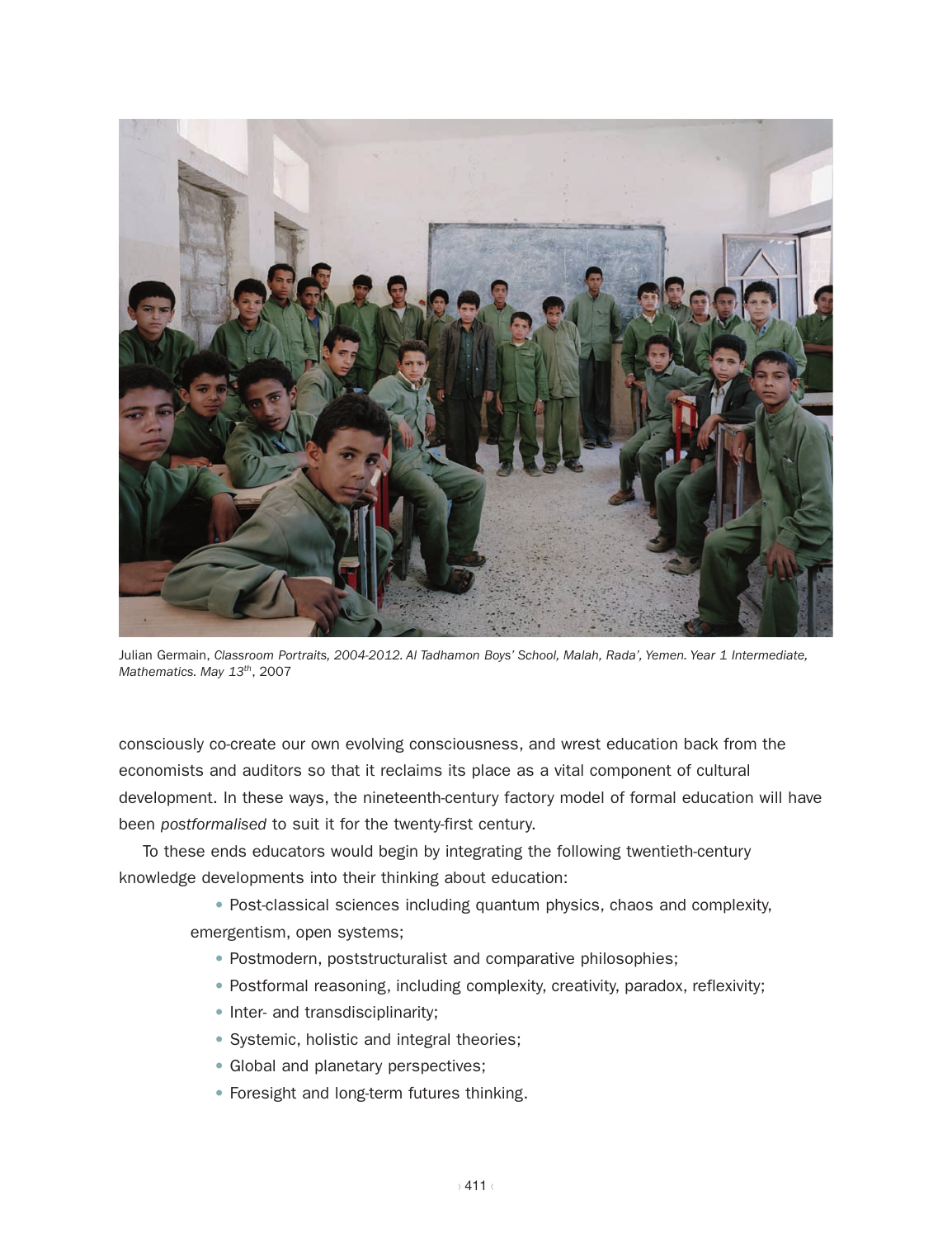

Julian Germain, *Classroom Portraits, 2004-2012. Al Tadhamon Boys' School, Malah, Rada', Yemen. Year 1 Intermediate, Mathematics. May 13th*, 2007

consciously co-create our own evolving consciousness, and wrest education back from the economists and auditors so that it reclaims its place as a vital component of cultural development. In these ways, the nineteenth-century factory model of formal education will have been *postformalised* to suit it for the twenty-first century.

To these ends educators would begin by integrating the following twentieth-century knowledge developments into their thinking about education:

> • Post-classical sciences including quantum physics, chaos and complexity, emergentism, open systems;

- Postmodern, poststructuralist and comparative philosophies;
- Postformal reasoning, including complexity, creativity, paradox, reflexivity;
- Inter- and transdisciplinarity;
- Systemic, holistic and integral theories;
- Global and planetary perspectives;
- Foresight and long-term futures thinking.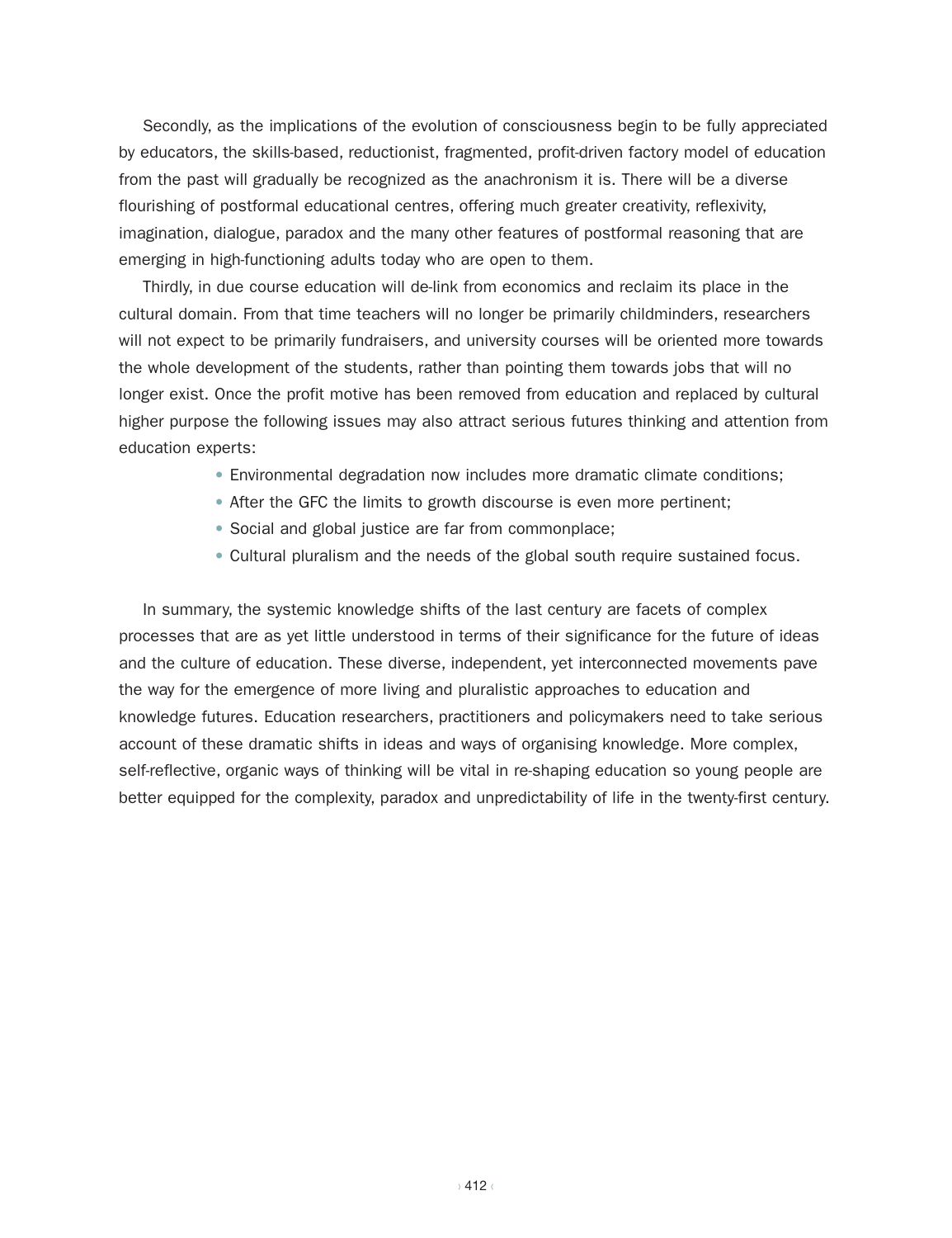Secondly, as the implications of the evolution of consciousness begin to be fully appreciated by educators, the skills-based, reductionist, fragmented, profit-driven factory model of education from the past will gradually be recognized as the anachronism it is. There will be a diverse flourishing of postformal educational centres, offering much greater creativity, reflexivity, imagination, dialogue, paradox and the many other features of postformal reasoning that are emerging in high-functioning adults today who are open to them.

Thirdly, in due course education will de-link from economics and reclaim its place in the cultural domain. From that time teachers will no longer be primarily childminders, researchers will not expect to be primarily fundraisers, and university courses will be oriented more towards the whole development of the students, rather than pointing them towards jobs that will no longer exist. Once the profit motive has been removed from education and replaced by cultural higher purpose the following issues may also attract serious futures thinking and attention from education experts:

- Environmental degradation now includes more dramatic climate conditions;
- After the GFC the limits to growth discourse is even more pertinent;
- Social and global justice are far from commonplace;
- Cultural pluralism and the needs of the global south require sustained focus.

In summary, the systemic knowledge shifts of the last century are facets of complex processes that are as yet little understood in terms of their significance for the future of ideas and the culture of education. These diverse, independent, yet interconnected movements pave the way for the emergence of more living and pluralistic approaches to education and knowledge futures. Education researchers, practitioners and policymakers need to take serious account of these dramatic shifts in ideas and ways of organising knowledge. More complex, self-reflective, organic ways of thinking will be vital in re-shaping education so young people are better equipped for the complexity, paradox and unpredictability of life in the twenty-first century.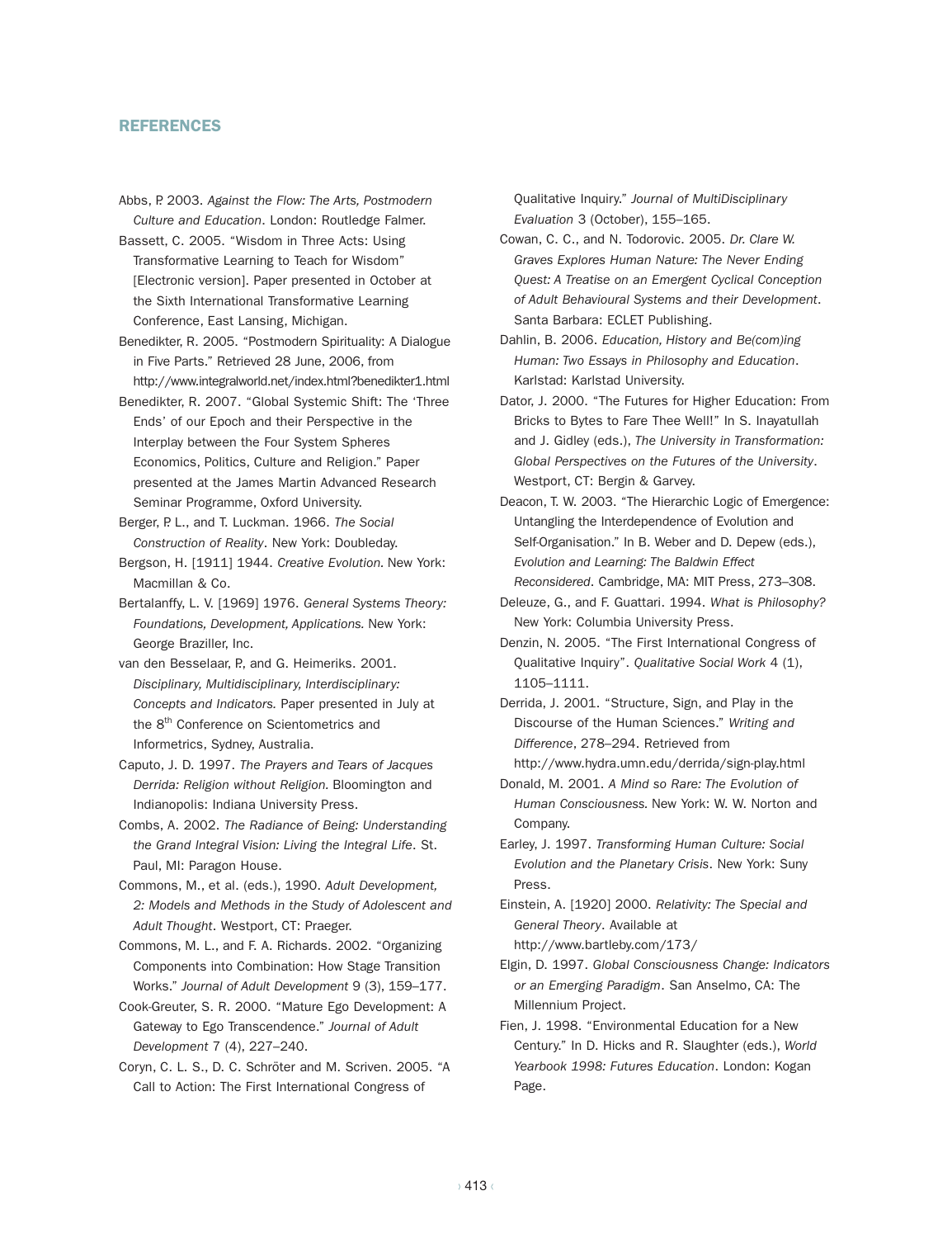#### REFERENCES

- Abbs, P. 2003. *Against the Flow: The Arts, Postmodern Culture and Education*. London: Routledge Falmer.
- Bassett, C. 2005. "Wisdom in Three Acts: Using Transformative Learning to Teach for Wisdom" [Electronic version]. Paper presented in October at the Sixth International Transformative Learning Conference, East Lansing, Michigan.
- Benedikter, R. 2005. "Postmodern Spirituality: A Dialogue in Five Parts." Retrieved 28 June, 2006, from http://www.integralworld.net/index.html?benedikter1.html
- Benedikter, R. 2007. "Global Systemic Shift: The 'Three Ends' of our Epoch and their Perspective in the Interplay between the Four System Spheres Economics, Politics, Culture and Religion." Paper presented at the James Martin Advanced Research Seminar Programme, Oxford University.
- Berger, P. L., and T. Luckman. 1966. *The Social Construction of Reality*. New York: Doubleday.
- Bergson, H. [1911] 1944. *Creative Evolution.* New York: Macmillan & Co.
- Bertalanffy, L. V. [1969] 1976. *General Systems Theory: Foundations, Development, Applications.* New York: George Braziller, Inc.
- van den Besselaar, P., and G. Heimeriks. 2001. *Disciplinary, Multidisciplinary, Interdisciplinary: Concepts and Indicators.* Paper presented in July at the 8<sup>th</sup> Conference on Scientometrics and Informetrics, Sydney, Australia.
- Caputo, J. D. 1997. *The Prayers and Tears of Jacques Derrida: Religion without Religion.* Bloomington and Indianopolis: Indiana University Press.
- Combs, A. 2002. *The Radiance of Being: Understanding the Grand Integral Vision: Living the Integral Life*. St. Paul, MI: Paragon House.
- Commons, M., et al. (eds.), 1990. *Adult Development, 2: Models and Methods in the Study of Adolescent and Adult Thought*. Westport, CT: Praeger.
- Commons, M. L., and F. A. Richards. 2002. "Organizing Components into Combination: How Stage Transition Works." *Journal of Adult Development* 9 (3), 159–177.
- Cook-Greuter, S. R. 2000. "Mature Ego Development: A Gateway to Ego Transcendence." *Journal of Adult Development* 7 (4), 227–240.
- Coryn, C. L. S., D. C. Schröter and M. Scriven. 2005. "A Call to Action: The First International Congress of

Qualitative Inquiry." *Journal of MultiDisciplinary Evaluation* 3 (October), 155–165.

- Cowan, C. C., and N. Todorovic. 2005. *Dr. Clare W. Graves Explores Human Nature: The Never Ending Quest: A Treatise on an Emergent Cyclical Conception of Adult Behavioural Systems and their Development*. Santa Barbara: ECLET Publishing.
- Dahlin, B. 2006. *Education, History and Be(com)ing Human: Two Essays in Philosophy and Education*. Karlstad: Karlstad University.
- Dator, J. 2000. "The Futures for Higher Education: From Bricks to Bytes to Fare Thee Well!" In S. Inayatullah and J. Gidley (eds.), *The University in Transformation: Global Perspectives on the Futures of the University*. Westport, CT: Bergin & Garvey.
- Deacon, T. W. 2003. "The Hierarchic Logic of Emergence: Untangling the Interdependence of Evolution and Self-Organisation." In B. Weber and D. Depew (eds.), *Evolution and Learning: The Baldwin Effect Reconsidered*. Cambridge, MA: MIT Press, 273–308.
- Deleuze, G., and F. Guattari. 1994. *What is Philosophy?* New York: Columbia University Press.
- Denzin, N. 2005. "The First International Congress of Qualitative Inquiry". *Qualitative Social Work* 4 (1), 1105–1111.
- Derrida, J. 2001. "Structure, Sign, and Play in the Discourse of the Human Sciences." *Writing and Difference*, 278–294. Retrieved from
- http://www.hydra.umn.edu/derrida/sign-play.html Donald, M. 2001. *A Mind so Rare: The Evolution of Human Consciousness.* New York: W. W. Norton and
- Earley, J. 1997. *Transforming Human Culture: Social Evolution and the Planetary Crisis*. New York: Suny Press.
- Einstein, A. [1920] 2000. *Relativity: The Special and General Theory*. Available at

http://www.bartleby.com/173/

Company.

- Elgin, D. 1997. *Global Consciousness Change: Indicators or an Emerging Paradigm*. San Anselmo, CA: The Millennium Project.
- Fien, J. 1998. "Environmental Education for a New Century." In D. Hicks and R. Slaughter (eds.), *World Yearbook 1998: Futures Education*. London: Kogan Page.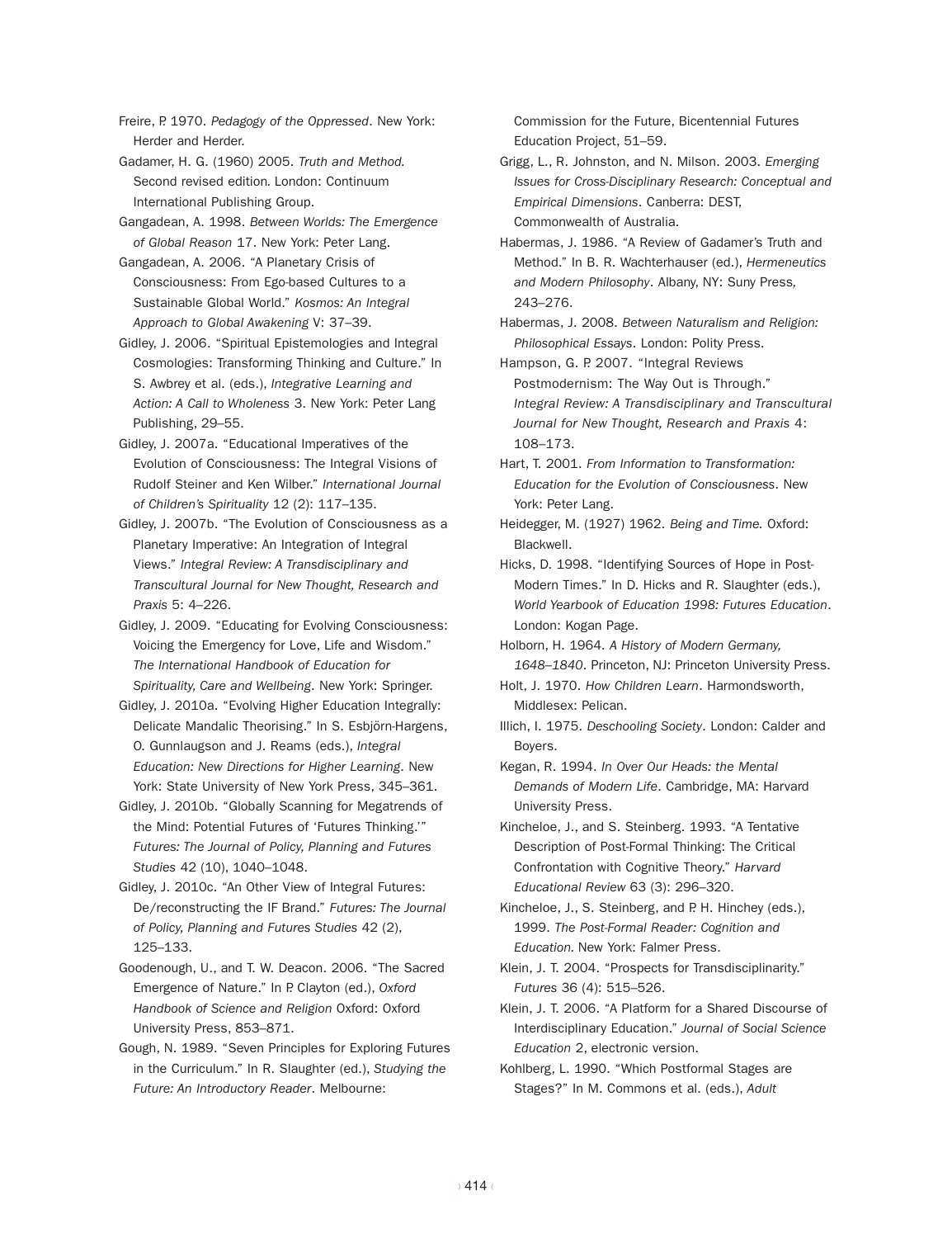Freire, P. 1970. *Pedagogy of the Oppressed*. New York: Herder and Herder.

Gadamer, H. G. (1960) 2005. *Truth and Method.* Second revised edition*.* London: Continuum International Publishing Group.

Gangadean, A. 1998. *Between Worlds: The Emergence of Global Reason* 17. New York: Peter Lang.

Gangadean, A. 2006. "A Planetary Crisis of Consciousness: From Ego-based Cultures to a Sustainable Global World." *Kosmos: An Integral Approach to Global Awakening* V: 37–39.

Gidley, J. 2006. "Spiritual Epistemologies and Integral Cosmologies: Transforming Thinking and Culture." In S. Awbrey et al. (eds.), *Integrative Learning and Action: A Call to Wholeness* 3. New York: Peter Lang Publishing, 29–55.

Gidley, J. 2007a. "Educational Imperatives of the Evolution of Consciousness: The Integral Visions of Rudolf Steiner and Ken Wilber." *International Journal of Children's Spirituality* 12 (2): 117–135.

Gidley, J. 2007b. "The Evolution of Consciousness as a Planetary Imperative: An Integration of Integral Views." *Integral Review: A Transdisciplinary and Transcultural Journal for New Thought, Research and Praxis* 5: 4–226.

Gidley, J. 2009. "Educating for Evolving Consciousness: Voicing the Emergency for Love, Life and Wisdom." *The International Handbook of Education for Spirituality, Care and Wellbeing*. New York: Springer.

Gidley, J. 2010a. "Evolving Higher Education Integrally: Delicate Mandalic Theorising." In S. Esbjörn-Hargens, O. Gunnlaugson and J. Reams (eds.), *Integral Education: New Directions for Higher Learning*. New York: State University of New York Press, 345–361.

Gidley, J. 2010b. "Globally Scanning for Megatrends of the Mind: Potential Futures of 'Futures Thinking.'" *Futures: The Journal of Policy, Planning and Futures Studies* 42 (10), 1040–1048.

Gidley, J. 2010c. "An Other View of Integral Futures: De/reconstructing the IF Brand." *Futures: The Journal of Policy, Planning and Futures Studies* 42 (2), 125–133.

Goodenough, U., and T. W. Deacon. 2006. "The Sacred Emergence of Nature." In P. Clayton (ed.), *Oxford Handbook of Science and Religion* Oxford: Oxford University Press, 853–871.

Gough, N. 1989. "Seven Principles for Exploring Futures in the Curriculum." In R. Slaughter (ed.), *Studying the Future: An Introductory Reader*. Melbourne:

Commission for the Future, Bicentennial Futures Education Project, 51–59.

Grigg, L., R. Johnston, and N. Milson. 2003. *Emerging Issues for Cross-Disciplinary Research: Conceptual and Empirical Dimensions*. Canberra: DEST, Commonwealth of Australia.

Habermas, J. 1986. "A Review of Gadamer's Truth and Method." In B. R. Wachterhauser (ed.), *Hermeneutics and Modern Philosophy*. Albany, NY: Suny Press*,* 243–276.

Habermas, J. 2008. *Between Naturalism and Religion: Philosophical Essays*. London: Polity Press.

Hampson, G. P. 2007. "Integral Reviews Postmodernism: The Way Out is Through." *Integral Review: A Transdisciplinary and Transcultural Journal for New Thought, Research and Praxis* 4: 108–173.

Hart, T. 2001. *From Information to Transformation: Education for the Evolution of Consciousness*. New York: Peter Lang.

Heidegger, M. (1927) 1962. *Being and Time.* Oxford: Blackwell.

Hicks, D. 1998. "Identifying Sources of Hope in Post-Modern Times." In D. Hicks and R. Slaughter (eds.), *World Yearbook of Education 1998: Futures Education*. London: Kogan Page.

Holborn, H. 1964. *A History of Modern Germany, 1648*–*1840*. Princeton, NJ: Princeton University Press.

Holt, J. 1970. *How Children Learn*. Harmondsworth, Middlesex: Pelican.

Illich, I. 1975. *Deschooling Society*. London: Calder and Boyers.

Kegan, R. 1994. *In Over Our Heads: the Mental Demands of Modern Life*. Cambridge, MA: Harvard University Press.

Kincheloe, J., and S. Steinberg. 1993. "A Tentative Description of Post-Formal Thinking: The Critical Confrontation with Cognitive Theory." *Harvard Educational Review* 63 (3): 296–320.

Kincheloe, J., S. Steinberg, and P. H. Hinchey (eds.), 1999. *The Post-Formal Reader: Cognition and Education.* New York: Falmer Press.

Klein, J. T. 2004. "Prospects for Transdisciplinarity." *Futures* 36 (4): 515–526.

Klein, J. T. 2006. "A Platform for a Shared Discourse of Interdisciplinary Education." *Journal of Social Science Education* 2, electronic version.

Kohlberg, L. 1990. "Which Postformal Stages are Stages?" In M. Commons et al. (eds.), *Adult*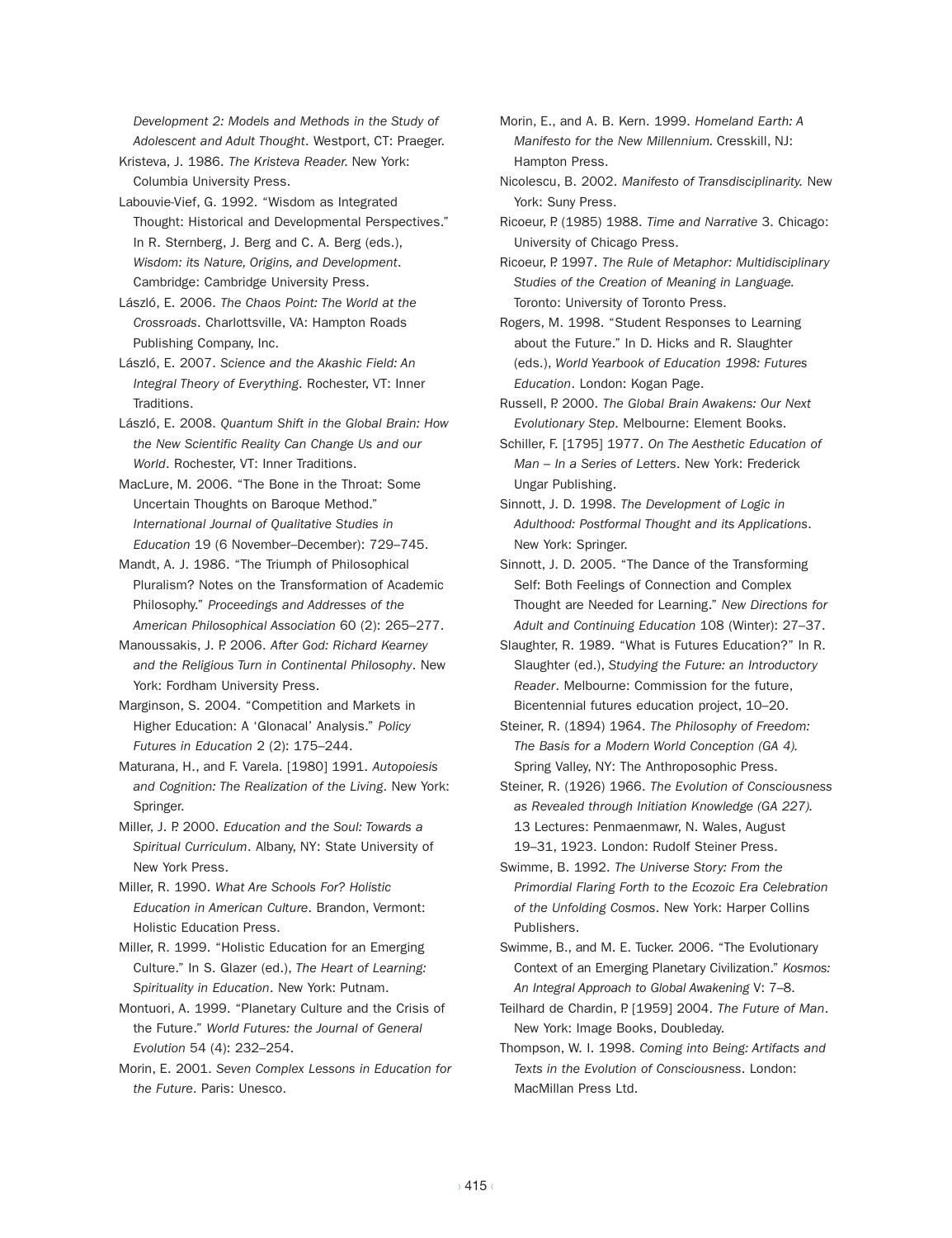*Development 2: Models and Methods in the Study of Adolescent and Adult Thought*. Westport, CT: Praeger.

Kristeva, J. 1986. *The Kristeva Reader.* New York: Columbia University Press.

Labouvie-Vief, G. 1992. "Wisdom as Integrated Thought: Historical and Developmental Perspectives." In R. Sternberg, J. Berg and C. A. Berg (eds.), *Wisdom: its Nature, Origins, and Development*. Cambridge: Cambridge University Press.

László, E. 2006. *The Chaos Point: The World at the Crossroads*. Charlottsville, VA: Hampton Roads Publishing Company, Inc.

László, E. 2007. *Science and the Akashic Field: An Integral Theory of Everything*. Rochester, VT: Inner Traditions.

László, E. 2008. *Quantum Shift in the Global Brain: How the New Scientific Reality Can Change Us and our World*. Rochester, VT: Inner Traditions.

MacLure, M. 2006. "The Bone in the Throat: Some Uncertain Thoughts on Baroque Method." *International Journal of Qualitative Studies in Education* 19 (6 November–December): 729–745.

Mandt, A. J. 1986. "The Triumph of Philosophical Pluralism? Notes on the Transformation of Academic Philosophy." *Proceedings and Addresses of the American Philosophical Association* 60 (2): 265–277.

Manoussakis, J. P. 2006. *After God: Richard Kearney and the Religious Turn in Continental Philosophy*. New York: Fordham University Press.

Marginson, S. 2004. "Competition and Markets in Higher Education: A 'Glonacal' Analysis." *Policy Futures in Education* 2 (2): 175–244.

Maturana, H., and F. Varela. [1980] 1991. *Autopoiesis and Cognition: The Realization of the Living*. New York: Springer.

Miller, J. P. 2000. *Education and the Soul: Towards a Spiritual Curriculum*. Albany, NY: State University of New York Press.

Miller, R. 1990. *What Are Schools For? Holistic Education in American Culture*. Brandon, Vermont: Holistic Education Press.

Miller, R. 1999. "Holistic Education for an Emerging Culture." In S. Glazer (ed.), *The Heart of Learning: Spirituality in Education*. New York: Putnam.

Montuori, A. 1999. "Planetary Culture and the Crisis of the Future." *World Futures: the Journal of General Evolution* 54 (4): 232–254.

Morin, E. 2001. *Seven Complex Lessons in Education for the Future*. Paris: Unesco.

Morin, E., and A. B. Kern. 1999. *Homeland Earth: A Manifesto for the New Millennium.* Cresskill, NJ: Hampton Press.

Nicolescu, B. 2002. *Manifesto of Transdisciplinarity.* New York: Suny Press.

Ricoeur, P. (1985) 1988. *Time and Narrative* 3. Chicago: University of Chicago Press.

Ricoeur, P. 1997. *The Rule of Metaphor: Multidisciplinary Studies of the Creation of Meaning in Language.* Toronto: University of Toronto Press.

Rogers, M. 1998. "Student Responses to Learning about the Future." In D. Hicks and R. Slaughter (eds.), *World Yearbook of Education 1998: Futures Education*. London: Kogan Page.

Russell, P. 2000. *The Global Brain Awakens: Our Next Evolutionary Step*. Melbourne: Element Books.

Schiller, F. [1795] 1977. *On The Aesthetic Education of Man* – *In a Series of Letters*. New York: Frederick Ungar Publishing.

Sinnott, J. D. 1998. *The Development of Logic in Adulthood: Postformal Thought and its Applications*. New York: Springer.

Sinnott, J. D. 2005. "The Dance of the Transforming Self: Both Feelings of Connection and Complex Thought are Needed for Learning." *New Directions for Adult and Continuing Education* 108 (Winter): 27–37.

Slaughter, R. 1989. "What is Futures Education?" In R. Slaughter (ed.), *Studying the Future: an Introductory Reader*. Melbourne: Commission for the future, Bicentennial futures education project, 10–20.

Steiner, R. (1894) 1964. *The Philosophy of Freedom: The Basis for a Modern World Conception (GA 4).* Spring Valley, NY: The Anthroposophic Press.

Steiner, R. (1926) 1966. *The Evolution of Consciousness as Revealed through Initiation Knowledge (GA 227).* 13 Lectures: Penmaenmawr, N. Wales, August 19–31, 1923. London: Rudolf Steiner Press.

Swimme, B. 1992. *The Universe Story: From the Primordial Flaring Forth to the Ecozoic Era Celebration of the Unfolding Cosmos*. New York: Harper Collins Publishers.

Swimme, B., and M. E. Tucker. 2006. "The Evolutionary Context of an Emerging Planetary Civilization." *Kosmos: An Integral Approach to Global Awakening* V: 7–8.

Teilhard de Chardin, P. [1959] 2004. *The Future of Man*. New York: Image Books, Doubleday.

Thompson, W. I. 1998. *Coming into Being: Artifacts and Texts in the Evolution of Consciousness*. London: MacMillan Press Ltd.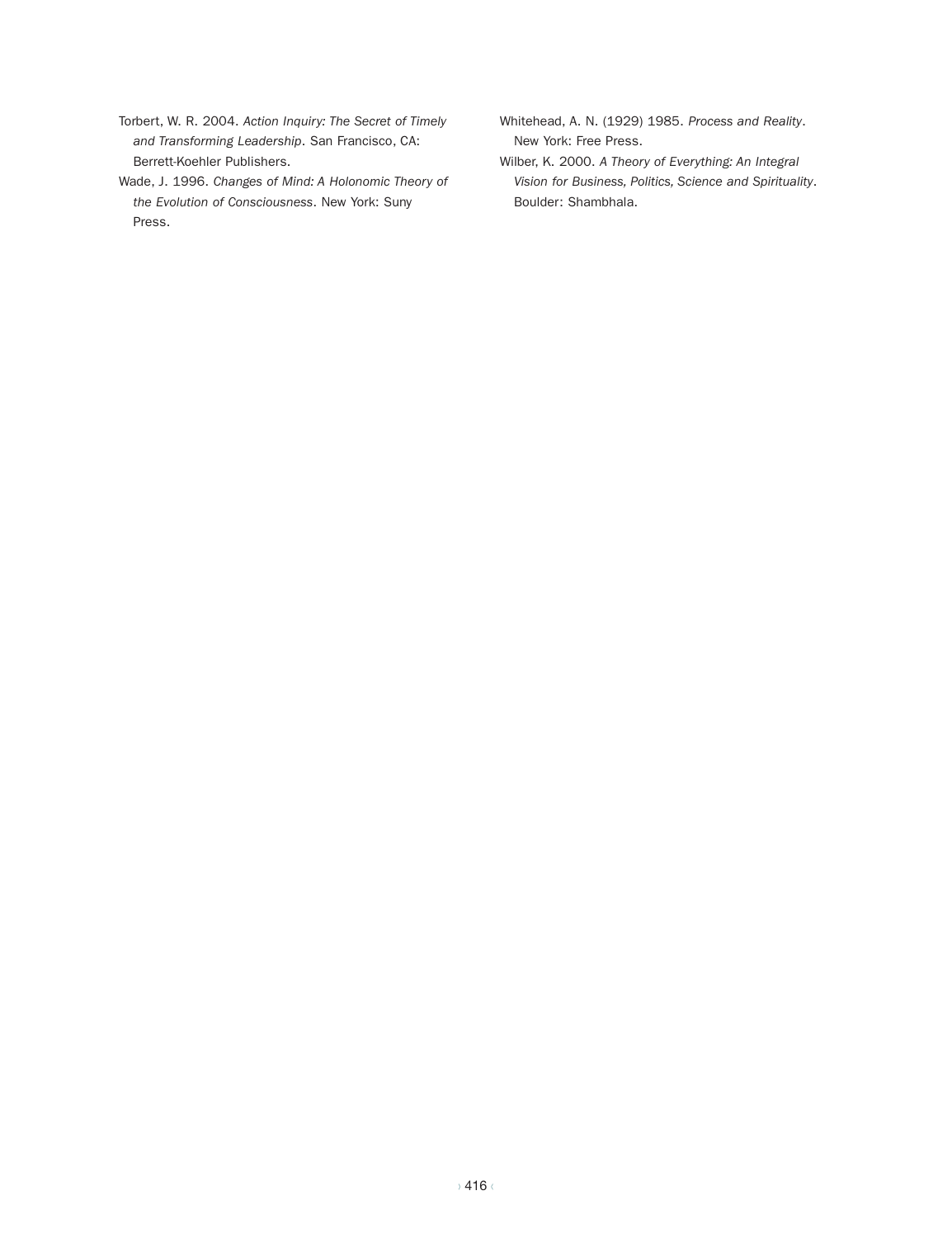- Torbert, W. R. 2004. *Action Inquiry: The Secret of Timely and Transforming Leadership*. San Francisco, CA: Berrett-Koehler Publishers.
- Wade, J. 1996. *Changes of Mind: A Holonomic Theory of the Evolution of Consciousness*. New York: Suny Press.
- Whitehead, A. N. (1929) 1985. *Process and Reality*. New York: Free Press.
- Wilber, K. 2000. *A Theory of Everything: An Integral Vision for Business, Politics, Science and Spirituality*. Boulder: Shambhala.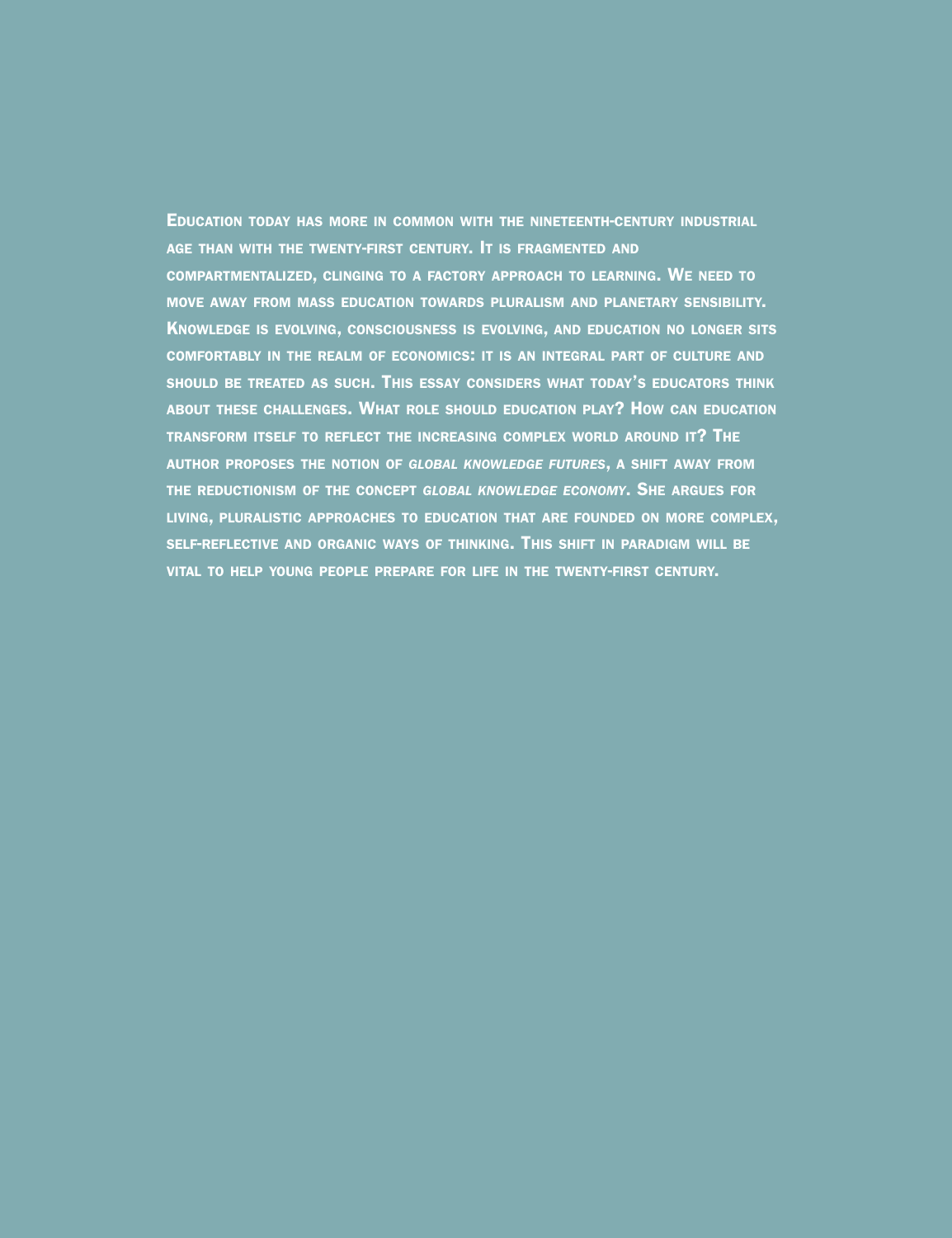EDUCATION TODAY HAS MORE IN COMMON WITH THE NINETEENTH-CENTURY INDUSTRIAL AGE THAN WITH THE TWENTY-FIRST CENTURY. IT IS FRAGMENTED AND COMPARTMENTALIZED, CLINGING TO A FACTORY APPROACH TO LEARNING. WE NEED TO MOVE AWAY FROM MASS EDUCATION TOWARDS PLURALISM AND PLANETARY SENSIBILITY. KNOWLEDGE IS EVOLVING, CONSCIOUSNESS IS EVOLVING, AND EDUCATION NO LONGER SITS COMFORTABLY IN THE REALM OF ECONOMICS: IT IS AN INTEGRAL PART OF CULTURE AND SHOULD BE TREATED AS SUCH. THIS ESSAY CONSIDERS WHAT TODAY'S EDUCATORS THINK ABOUT THESE CHALLENGES. WHAT ROLE SHOULD EDUCATION PLAY? HOW CAN EDUCATION TRANSFORM ITSELF TO REFLECT THE INCREASING COMPLEX WORLD AROUND IT? THE AUTHOR PROPOSES THE NOTION OF *GLOBAL KNOWLEDGE FUTURES*, A SHIFT AWAY FROM THE REDUCTIONISM OF THE CONCEPT *GLOBAL KNOWLEDGE ECONOMY*. SHE ARGUES FOR LIVING, PLURALISTIC APPROACHES TO EDUCATION THAT ARE FOUNDED ON MORE COMPLEX, SELF-REFLECTIVE AND ORGANIC WAYS OF THINKING. THIS SHIFT IN PARADIGM WILL BE VITAL TO HELP YOUNG PEOPLE PREPARE FOR LIFE IN THE TWENTY-FIRST CENTURY.